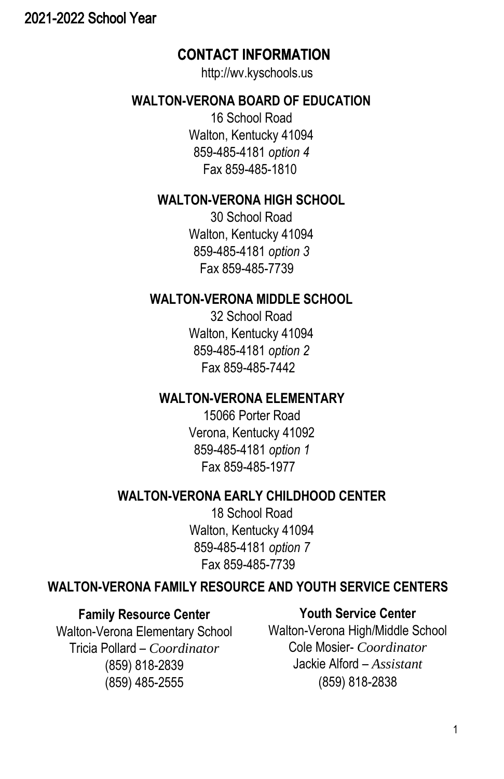## <span id="page-0-0"></span>2021-2022 School Year

## **CONTACT INFORMATION INFORMATION**

http://wv.kyschools.us

## **WALTON-VERONA BOARD OF EDUCATION**

16 School Road Walton, Kentucky 41094 859-485-4181 *option 4* Fax 859-485-1810

## **WALTON-VERONA HIGH SCHOOL**

30 School Road Walton, Kentucky 41094 859-485-4181 *option 3* Fax 859-485-7739

## **WALTON-VERONA MIDDLE SCHOOL**

32 School Road Walton, Kentucky 41094 859-485-4181 *option 2* Fax 859-485-7442

## **WALTON-VERONA ELEMENTARY**

15066 Porter Road Verona, Kentucky 41092 859-485-4181 *option 1* Fax 859-485-1977

## **WALTON-VERONA EARLY CHILDHOOD CENTER**

18 School Road Walton, Kentucky 41094 859-485-4181 *option 7* Fax 859-485-7739

## **WALTON-VERONA FAMILY RESOURCE AND YOUTH SERVICE CENTERS**

## **Family Resource Center**

Walton-Verona Elementary School Tricia Pollard – *Coordinator* (859) 818-2839 (859) 485-2555

## **Youth Service Center**

Walton-Verona High/Middle School Cole Mosier- *Coordinator* Jackie Alford – *Assistant* (859) 818-2838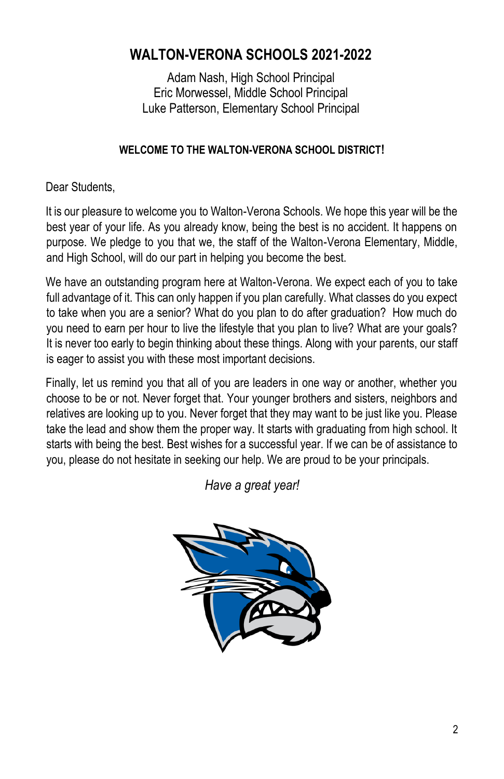# **WALTON-VERONA SCHOOLS 2021-2022**

Adam Nash, High School Principal Eric Morwessel, Middle School Principal Luke Patterson, Elementary School Principal

## **WELCOME TO THE WALTON-VERONA SCHOOL DISTRICT!**

Dear Students,

It is our pleasure to welcome you to Walton-Verona Schools. We hope this year will be the best year of your life. As you already know, being the best is no accident. It happens on purpose. We pledge to you that we, the staff of the Walton-Verona Elementary, Middle, and High School, will do our part in helping you become the best.

We have an outstanding program here at Walton-Verona. We expect each of you to take full advantage of it. This can only happen if you plan carefully. What classes do you expect to take when you are a senior? What do you plan to do after graduation? How much do you need to earn per hour to live the lifestyle that you plan to live? What are your goals? It is never too early to begin thinking about these things. Along with your parents, our staff is eager to assist you with these most important decisions.

Finally, let us remind you that all of you are leaders in one way or another, whether you choose to be or not. Never forget that. Your younger brothers and sisters, neighbors and relatives are looking up to you. Never forget that they may want to be just like you. Please take the lead and show them the proper way. It starts with graduating from high school. It starts with being the best. Best wishes for a successful year. If we can be of assistance to you, please do not hesitate in seeking our help. We are proud to be your principals.

*Have a great year!*

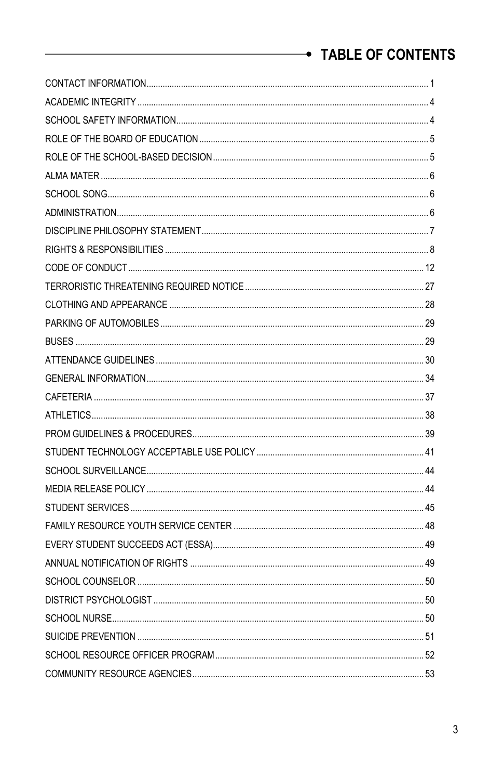# TABLE OF CONTENTS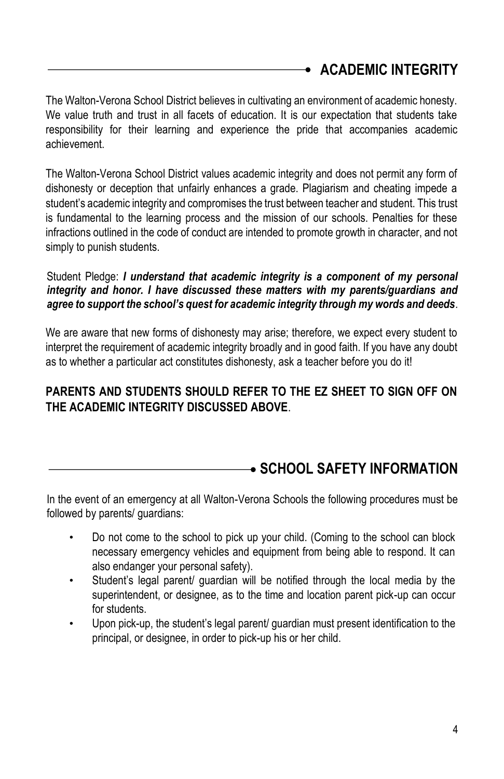# <span id="page-3-0"></span>**ACADEMIC INTEGRITY**

The Walton-Verona School District believes in cultivating an environment of academic honesty. We value truth and trust in all facets of education. It is our expectation that students take responsibility for their learning and experience the pride that accompanies academic achievement.

The Walton-Verona School District values academic integrity and does not permit any form of dishonesty or deception that unfairly enhances a grade. Plagiarism and cheating impede a student's academic integrity and compromises the trust between teacher and student. This trust is fundamental to the learning process and the mission of our schools. Penalties for these infractions outlined in the code of conduct are intended to promote growth in character, and not simply to punish students.

### Student Pledge: *I understand that academic integrity is a component of my personal integrity and honor. I have discussed these matters with my parents/guardians and agree to support the school's quest for academic integrity through my words and deeds.*

We are aware that new forms of dishonesty may arise; therefore, we expect every student to interpret the requirement of academic integrity broadly and in good faith. If you have any doubt as to whether a particular act constitutes dishonesty, ask a teacher before you do it!

## **PARENTS AND STUDENTS SHOULD REFER TO THE EZ SHEET TO SIGN OFF ON THE ACADEMIC INTEGRITY DISCUSSED ABOVE**.

# <span id="page-3-1"></span>**SCHOOL SAFETY INFORMATION**

In the event of an emergency at all Walton-Verona Schools the following procedures must be followed by parents/ guardians:

- Do not come to the school to pick up your child. (Coming to the school can block necessary emergency vehicles and equipment from being able to respond. It can also endanger your personal safety).
- Student's legal parent/ guardian will be notified through the local media by the superintendent, or designee, as to the time and location parent pick-up can occur for students.
- Upon pick-up, the student's legal parent/ quardian must present identification to the principal, or designee, in order to pick-up his or her child.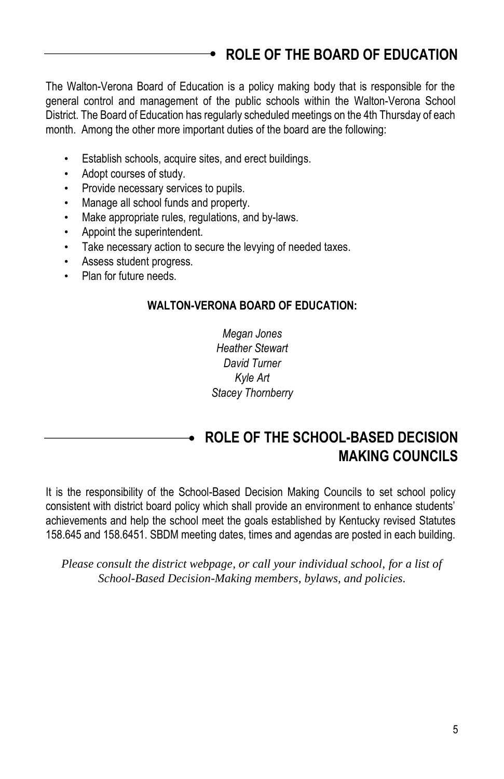# <span id="page-4-0"></span>**ROLE OF THE BOARD OF EDUCATION**

The Walton-Verona Board of Education is a policy making body that is responsible for the general control and management of the public schools within the Walton-Verona School District. The Board of Education has regularly scheduled meetings on the 4th Thursday of each month. Among the other more important duties of the board are the following:

- Establish schools, acquire sites, and erect buildings.
- Adopt courses of study.
- Provide necessary services to pupils.
- Manage all school funds and property.
- Make appropriate rules, regulations, and by-laws.
- Appoint the superintendent.
- Take necessary action to secure the levying of needed taxes.
- Assess student progress.
- Plan for future needs.

#### **WALTON-VERONA BOARD OF EDUCATION:**

*Megan Jones Heather Stewart David Turner Kyle Art Stacey Thornberry*

## <span id="page-4-1"></span>**ROLE OF THE SCHOOL-BASED DECISION MAKING COUNCILS**

It is the responsibility of the School-Based Decision Making Councils to set school policy consistent with district board policy which shall provide an environment to enhance students' achievements and help the school meet the goals established by Kentucky revised Statutes 158.645 and 158.6451. SBDM meeting dates, times and agendas are posted in each building.

*Please consult the district webpage, or call your individual school, for a list of School-Based Decision-Making members, bylaws, and policies.*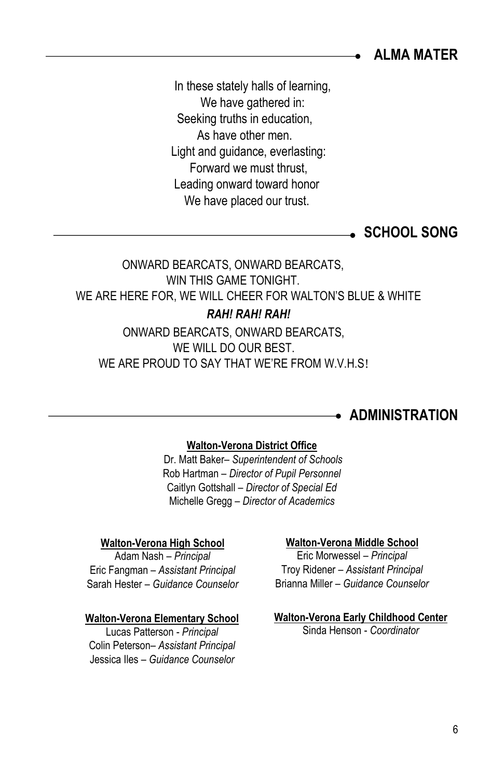<span id="page-5-0"></span>**ALMA MATER**

In these stately halls of learning, We have gathered in: Seeking truths in education, As have other men. Light and guidance, everlasting: Forward we must thrust, Leading onward toward honor We have placed our trust.

<span id="page-5-1"></span>**SCHOOL SONG** 

# ONWARD BEARCATS, ONWARD BEARCATS, WIN THIS GAME TONIGHT. WE ARE HERE FOR, WE WILL CHEER FOR WALTON'S BLUE & WHITE *RAH! RAH! RAH!*

ONWARD BEARCATS, ONWARD BEARCATS, WE WILL DO OUR BEST. WE ARE PROUD TO SAY THAT WE'RE FROM W.V.H.S!

## <span id="page-5-2"></span>**ADMINISTRATION**

#### **Walton-Verona District Office**

Dr. Matt Baker– *Superintendent of Schools* Rob Hartman – *Director of Pupil Personnel* Caitlyn Gottshall – *Director of Special Ed* Michelle Gregg – *Director of Academics*

#### **Walton-Verona High School**

Adam Nash – *Principal* Eric Fangman – *Assistant Principal* Sarah Hester – *Guidance Counselor*

#### **Walton-Verona Elementary School**

Lucas Patterson - *Principal* Colin Peterson– *Assistant Principal* Jessica Iles – *Guidance Counselor*

#### **Walton-Verona Middle School**

Eric Morwessel – *Principal* Troy Ridener – *Assistant Principal* Brianna Miller – *Guidance Counselor*

### **Walton-Verona Early Childhood Center**

Sinda Henson - *Coordinator*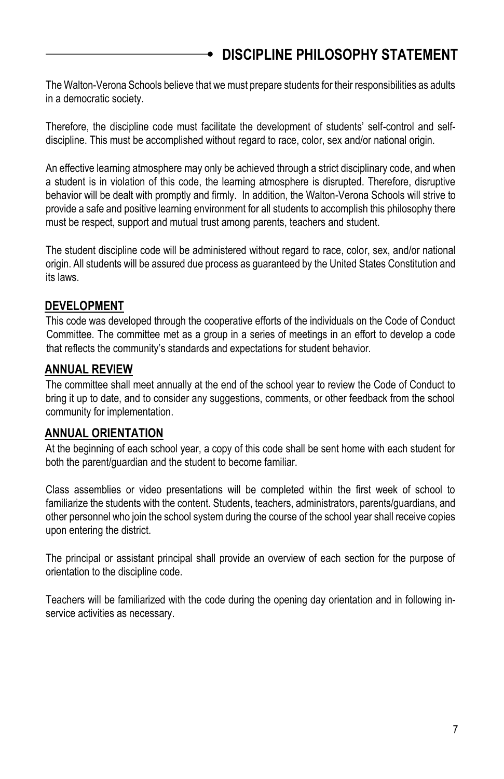<span id="page-6-0"></span>The Walton-Verona Schools believe that we must prepare students for their responsibilities as adults in a democratic society.

Therefore, the discipline code must facilitate the development of students' self-control and selfdiscipline. This must be accomplished without regard to race, color, sex and/or national origin.

An effective learning atmosphere may only be achieved through a strict disciplinary code, and when a student is in violation of this code, the learning atmosphere is disrupted. Therefore, disruptive behavior will be dealt with promptly and firmly. In addition, the Walton-Verona Schools will strive to provide a safe and positive learning environment for all students to accomplish this philosophy there must be respect, support and mutual trust among parents, teachers and student.

The student discipline code will be administered without regard to race, color, sex, and/or national origin. All students will be assured due process as guaranteed by the United States Constitution and its laws.

## **DEVELOPMENT**

This code was developed through the cooperative efforts of the individuals on the Code of Conduct Committee. The committee met as a group in a series of meetings in an effort to develop a code that reflects the community's standards and expectations for student behavior.

## **ANNUAL REVIEW**

The committee shall meet annually at the end of the school year to review the Code of Conduct to bring it up to date, and to consider any suggestions, comments, or other feedback from the school community for implementation.

### **ANNUAL ORIENTATION**

At the beginning of each school year, a copy of this code shall be sent home with each student for both the parent/guardian and the student to become familiar.

Class assemblies or video presentations will be completed within the first week of school to familiarize the students with the content. Students, teachers, administrators, parents/guardians, and other personnel who join the school system during the course of the school year shall receive copies upon entering the district.

The principal or assistant principal shall provide an overview of each section for the purpose of orientation to the discipline code.

Teachers will be familiarized with the code during the opening day orientation and in following inservice activities as necessary.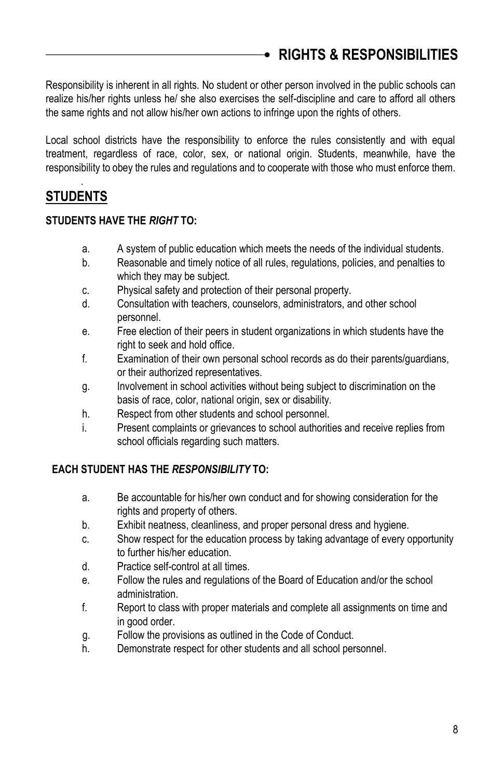<span id="page-7-0"></span>Responsibility is inherent in all rights. No student or other person involved in the public schools can realize his/her rights unless he/ she also exercises the self-discipline and care to afford all others the same rights and not allow his/her own actions to infringe upon the rights of others.

Local school districts have the responsibility to enforce the rules consistently and with equal treatment, regardless of race, color, sex, or national origin. Students, meanwhile, have the responsibility to obey the rules and regulations and to cooperate with those who must enforce them.

### . **STUDENTS**

### **STUDENTS HAVE THE** *RIGHT* **TO:**

- a. A system of public education which meets the needs of the individual students.
- b. Reasonable and timely notice of all rules, regulations, policies, and penalties to which they may be subject.
- c. Physical safety and protection of their personal property.
- d. Consultation with teachers, counselors, administrators, and other school personnel.
- e. Free election of their peers in student organizations in which students have the right to seek and hold office.
- f. Examination of their own personal school records as do their parents/guardians, or their authorized representatives.
- g. Involvement in school activities without being subject to discrimination on the basis of race, color, national origin, sex or disability.
- h. Respect from other students and school personnel.
- i. Present complaints or grievances to school authorities and receive replies from school officials regarding such matters.

### **EACH STUDENT HAS THE** *RESPONSIBILITY* **TO:**

- a. Be accountable for his/her own conduct and for showing consideration for the rights and property of others.
- b. Exhibit neatness, cleanliness, and proper personal dress and hygiene.
- c. Show respect for the education process by taking advantage of every opportunity to further his/her education.
- d. Practice self-control at all times.
- e. Follow the rules and regulations of the Board of Education and/or the school administration.
- f. Report to class with proper materials and complete all assignments on time and in good order.
- g. Follow the provisions as outlined in the Code of Conduct.
- h. Demonstrate respect for other students and all school personnel.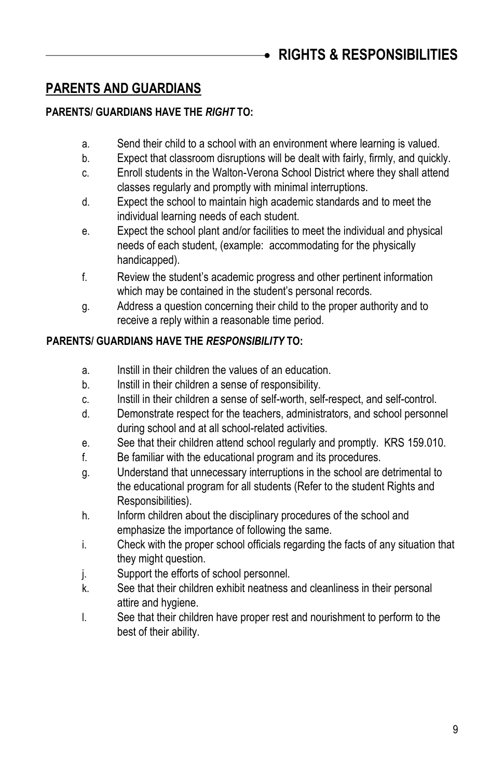#### **PARENTS AND GUARDIANS**

### **PARENTS/ GUARDIANS HAVE THE** *RIGHT* **TO:**

- a. Send their child to a school with an environment where learning is valued.
- b. Expect that classroom disruptions will be dealt with fairly, firmly, and quickly.
- c. Enroll students in the Walton-Verona School District where they shall attend classes regularly and promptly with minimal interruptions.
- d. Expect the school to maintain high academic standards and to meet the individual learning needs of each student.
- e. Expect the school plant and/or facilities to meet the individual and physical needs of each student, (example: accommodating for the physically handicapped).
- f. Review the student's academic progress and other pertinent information which may be contained in the student's personal records.
- g. Address a question concerning their child to the proper authority and to receive a reply within a reasonable time period.

### **PARENTS/ GUARDIANS HAVE THE** *RESPONSIBILITY* **TO:**

- a. Instill in their children the values of an education.
- b. Instill in their children a sense of responsibility.
- c. Instill in their children a sense of self-worth, self-respect, and self-control.
- d. Demonstrate respect for the teachers, administrators, and school personnel during school and at all school-related activities.
- e. See that their children attend school regularly and promptly. KRS 159.010.
- f. Be familiar with the educational program and its procedures.
- g. Understand that unnecessary interruptions in the school are detrimental to the educational program for all students (Refer to the student Rights and Responsibilities).
- h. Inform children about the disciplinary procedures of the school and emphasize the importance of following the same.
- i. Check with the proper school officials regarding the facts of any situation that they might question.
- j. Support the efforts of school personnel.
- k. See that their children exhibit neatness and cleanliness in their personal attire and hygiene.
- l. See that their children have proper rest and nourishment to perform to the best of their ability.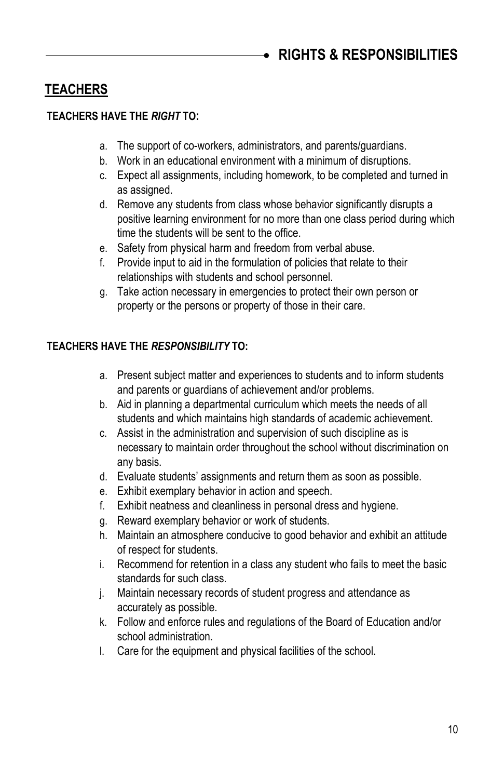## **TEACHERS**

### **TEACHERS HAVE THE** *RIGHT* **TO:**

- a. The support of co-workers, administrators, and parents/guardians.
- b. Work in an educational environment with a minimum of disruptions.
- c. Expect all assignments, including homework, to be completed and turned in as assigned.
- d. Remove any students from class whose behavior significantly disrupts a positive learning environment for no more than one class period during which time the students will be sent to the office.
- e. Safety from physical harm and freedom from verbal abuse.
- f. Provide input to aid in the formulation of policies that relate to their relationships with students and school personnel.
- g. Take action necessary in emergencies to protect their own person or property or the persons or property of those in their care.

### **TEACHERS HAVE THE** *RESPONSIBILITY* **TO:**

- a. Present subject matter and experiences to students and to inform students and parents or guardians of achievement and/or problems.
- b. Aid in planning a departmental curriculum which meets the needs of all students and which maintains high standards of academic achievement.
- c. Assist in the administration and supervision of such discipline as is necessary to maintain order throughout the school without discrimination on any basis.
- d. Evaluate students' assignments and return them as soon as possible.
- e. Exhibit exemplary behavior in action and speech.
- f. Exhibit neatness and cleanliness in personal dress and hygiene.
- g. Reward exemplary behavior or work of students.
- h. Maintain an atmosphere conducive to good behavior and exhibit an attitude of respect for students.
- i. Recommend for retention in a class any student who fails to meet the basic standards for such class.
- j. Maintain necessary records of student progress and attendance as accurately as possible.
- k. Follow and enforce rules and regulations of the Board of Education and/or school administration.
- l. Care for the equipment and physical facilities of the school.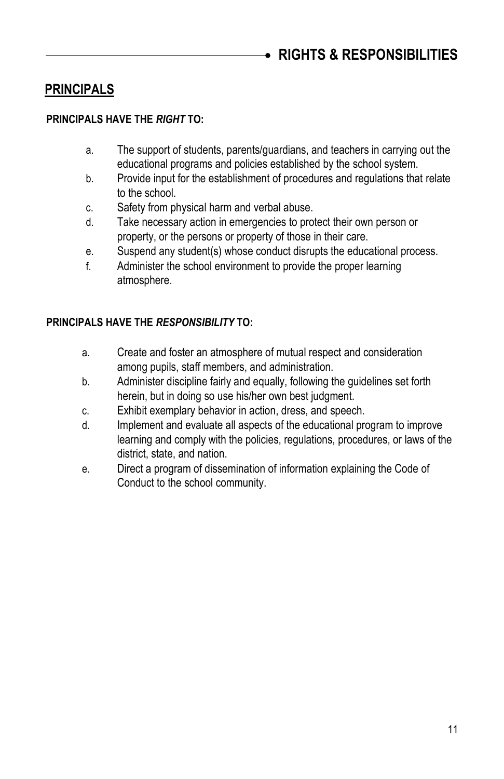## **PRINCIPALS**

### **PRINCIPALS HAVE THE** *RIGHT* **TO:**

- a. The support of students, parents/guardians, and teachers in carrying out the educational programs and policies established by the school system.
- b. Provide input for the establishment of procedures and regulations that relate to the school.
- c. Safety from physical harm and verbal abuse.
- d. Take necessary action in emergencies to protect their own person or property, or the persons or property of those in their care.
- e. Suspend any student(s) whose conduct disrupts the educational process.
- f. Administer the school environment to provide the proper learning atmosphere.

### **PRINCIPALS HAVE THE** *RESPONSIBILITY* **TO:**

- a. Create and foster an atmosphere of mutual respect and consideration among pupils, staff members, and administration.
- b. Administer discipline fairly and equally, following the guidelines set forth herein, but in doing so use his/her own best judgment.
- c. Exhibit exemplary behavior in action, dress, and speech.
- d. Implement and evaluate all aspects of the educational program to improve learning and comply with the policies, regulations, procedures, or laws of the district, state, and nation.
- e. Direct a program of dissemination of information explaining the Code of Conduct to the school community.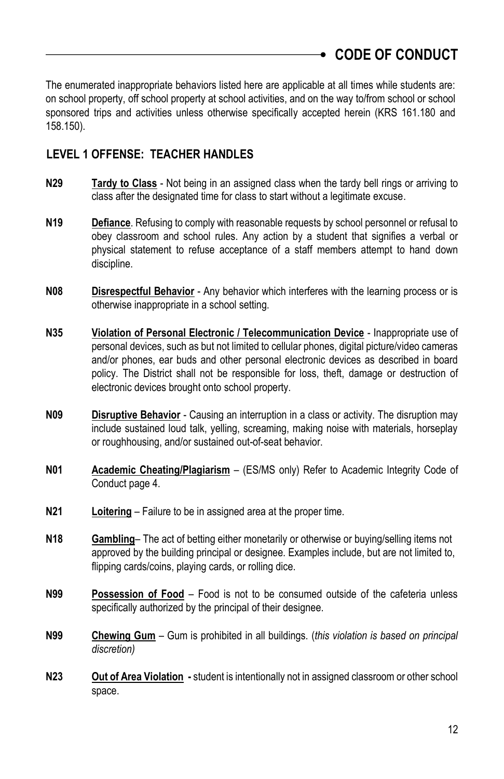<span id="page-11-0"></span>The enumerated inappropriate behaviors listed here are applicable at all times while students are: on school property, off school property at school activities, and on the way to/from school or school sponsored trips and activities unless otherwise specifically accepted herein (KRS 161.180 and 158.150).

## **LEVEL 1 OFFENSE: TEACHER HANDLES**

- **N29 Tardy to Class** Not being in an assigned class when the tardy bell rings or arriving to class after the designated time for class to start without a legitimate excuse.
- **N19 Defiance**. Refusing to comply with reasonable requests by school personnel or refusal to obey classroom and school rules. Any action by a student that signifies a verbal or physical statement to refuse acceptance of a staff members attempt to hand down discipline.
- **N08 Disrespectful Behavior** Any behavior which interferes with the learning process or is otherwise inappropriate in a school setting.
- **N35 Violation of Personal Electronic / Telecommunication Device** Inappropriate use of personal devices, such as but not limited to cellular phones, digital picture/video cameras and/or phones, ear buds and other personal electronic devices as described in board policy. The District shall not be responsible for loss, theft, damage or destruction of electronic devices brought onto school property.
- **N09 Disruptive Behavior** Causing an interruption in a class or activity. The disruption may include sustained loud talk, yelling, screaming, making noise with materials, horseplay or roughhousing, and/or sustained out-of-seat behavior.
- **N01 Academic Cheating/Plagiarism** (ES/MS only) Refer to Academic Integrity Code of Conduct page 4.
- **N21 Loitering** Failure to be in assigned area at the proper time.
- **N18 Gambling** The act of betting either monetarily or otherwise or buying/selling items not approved by the building principal or designee. Examples include, but are not limited to, flipping cards/coins, playing cards, or rolling dice.
- **N99 Possession of Food** Food is not to be consumed outside of the cafeteria unless specifically authorized by the principal of their designee.
- **N99 Chewing Gum** Gum is prohibited in all buildings. (*this violation is based on principal discretion)*
- **N23 Out of Area Violation -** student is intentionally not in assigned classroom or other school space.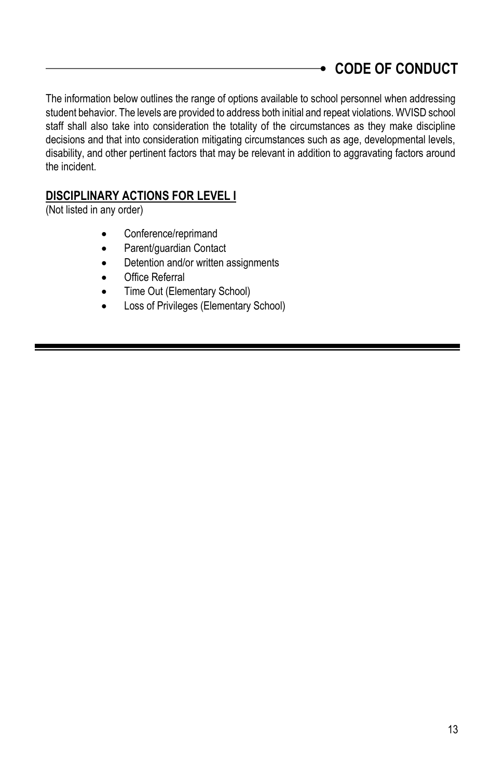# **CODE OF CONDUCT**

The information below outlines the range of options available to school personnel when addressing student behavior. The levels are provided to address both initial and repeat violations. WVISD school staff shall also take into consideration the totality of the circumstances as they make discipline decisions and that into consideration mitigating circumstances such as age, developmental levels, disability, and other pertinent factors that may be relevant in addition to aggravating factors around the incident.

## **DISCIPLINARY ACTIONS FOR LEVEL I**

(Not listed in any order)

- Conference/reprimand
- Parent/guardian Contact
- Detention and/or written assignments
- Office Referral
- Time Out (Elementary School)
- Loss of Privileges (Elementary School)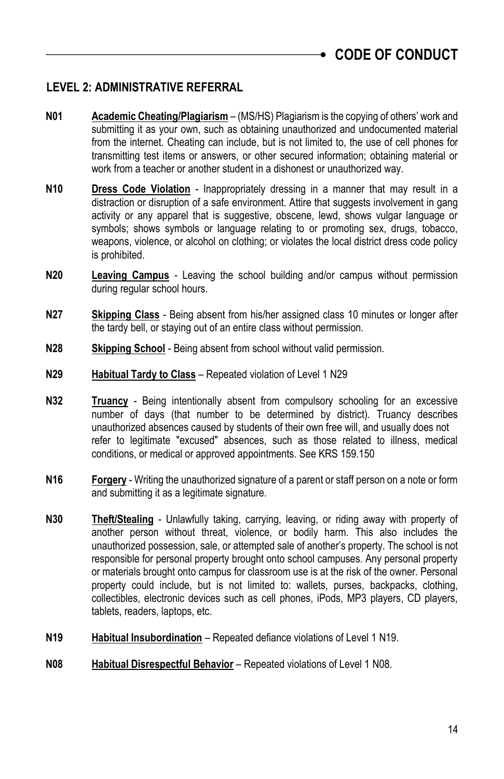## **LEVEL 2: ADMINISTRATIVE REFERRAL**

- **N01 Academic Cheating/Plagiarism** (MS/HS) Plagiarism is the copying of others' work and submitting it as your own, such as obtaining unauthorized and undocumented material from the internet. Cheating can include, but is not limited to, the use of cell phones for transmitting test items or answers, or other secured information; obtaining material or work from a teacher or another student in a dishonest or unauthorized way.
- **N10 Dress Code Violation** Inappropriately dressing in a manner that may result in a distraction or disruption of a safe environment. Attire that suggests involvement in gang activity or any apparel that is suggestive, obscene, lewd, shows vulgar language or symbols; shows symbols or language relating to or promoting sex, drugs, tobacco, weapons, violence, or alcohol on clothing; or violates the local district dress code policy is prohibited.
- **N20 Leaving Campus** Leaving the school building and/or campus without permission during regular school hours.
- **N27 Skipping Class** Being absent from his/her assigned class 10 minutes or longer after the tardy bell, or staying out of an entire class without permission.
- **N28 Skipping School** Being absent from school without valid permission.
- **N29 Habitual Tardy to Class** Repeated violation of Level 1 N29
- **N32 Truancy** Being intentionally absent from compulsory schooling for an excessive number of days (that number to be determined by district). Truancy describes unauthorized absences caused by students of their own free will, and usually does not refer to legitimate "excused" absences, such as those related to illness, medical conditions, or medical or approved appointments. See KRS 159.150
- **N16 Forgery** Writing the unauthorized signature of a parent or staff person on a note or form and submitting it as a legitimate signature.
- **N30 Theft/Stealing** Unlawfully taking, carrying, leaving, or riding away with property of another person without threat, violence, or bodily harm. This also includes the unauthorized possession, sale, or attempted sale of another's property. The school is not responsible for personal property brought onto school campuses. Any personal property or materials brought onto campus for classroom use is at the risk of the owner. Personal property could include, but is not limited to: wallets, purses, backpacks, clothing, collectibles, electronic devices such as cell phones, iPods, MP3 players, CD players, tablets, readers, laptops, etc.
- **N19 Habitual Insubordination** Repeated defiance violations of Level 1 N19.
- **N08 Habitual Disrespectful Behavior** Repeated violations of Level 1 N08.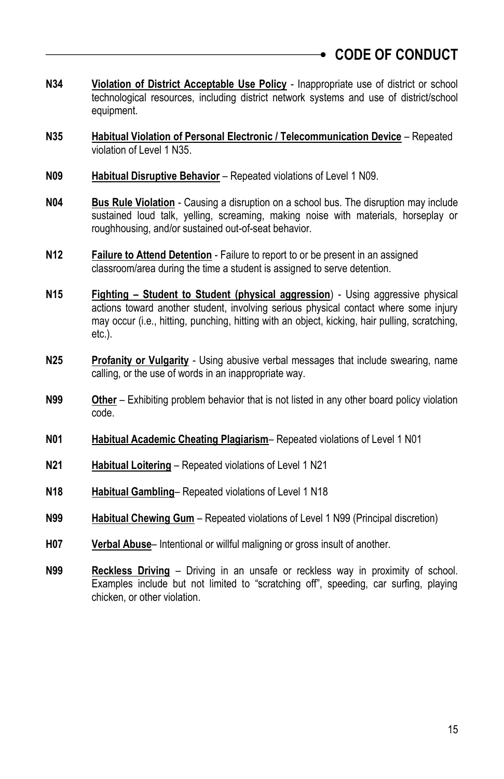# **CODE OF CONDUCT**

- **N34 Violation of District Acceptable Use Policy** Inappropriate use of district or school technological resources, including district network systems and use of district/school equipment.
- **N35 Habitual Violation of Personal Electronic / Telecommunication Device** Repeated violation of Level 1 N35.
- **N09 Habitual Disruptive Behavior** Repeated violations of Level 1 N09.
- **N04 Bus Rule Violation** Causing a disruption on a school bus. The disruption may include sustained loud talk, yelling, screaming, making noise with materials, horseplay or roughhousing, and/or sustained out-of-seat behavior.
- **N12 Failure to Attend Detention** Failure to report to or be present in an assigned classroom/area during the time a student is assigned to serve detention.
- **N15 Fighting – Student to Student (physical aggression**) Using aggressive physical actions toward another student, involving serious physical contact where some injury may occur (i.e., hitting, punching, hitting with an object, kicking, hair pulling, scratching, etc.).
- **N25 Profanity or Vulgarity** Using abusive verbal messages that include swearing, name calling, or the use of words in an inappropriate way.
- **N99 Other** Exhibiting problem behavior that is not listed in any other board policy violation code.
- **N01 Habitual Academic Cheating Plagiarism** Repeated violations of Level 1 N01
- **N21 Habitual Loitering** Repeated violations of Level 1 N21
- **N18 Habitual Gambling** Repeated violations of Level 1 N18
- **N99 Habitual Chewing Gum** Repeated violations of Level 1 N99 (Principal discretion)
- **H07 Verbal Abuse** Intentional or willful maligning or gross insult of another.
- **N99 Reckless Driving** Driving in an unsafe or reckless way in proximity of school. Examples include but not limited to "scratching off", speeding, car surfing, playing chicken, or other violation.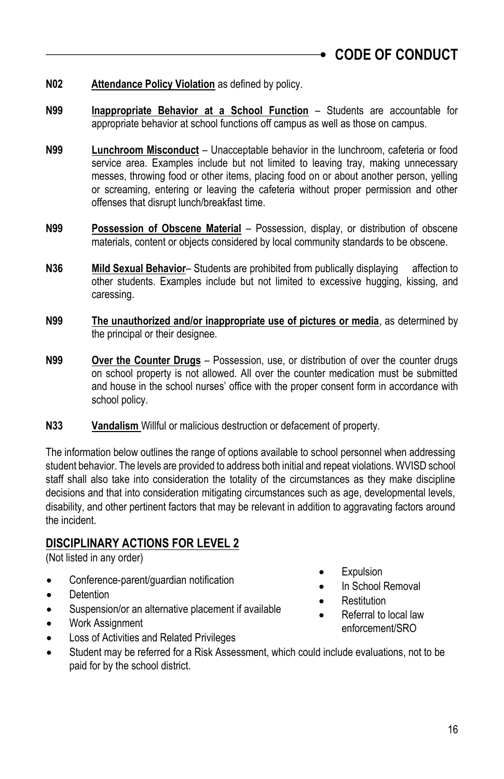### **N02 Attendance Policy Violation** as defined by policy.

- **N99 Inappropriate Behavior at a School Function** Students are accountable for appropriate behavior at school functions off campus as well as those on campus.
- **N99 Lunchroom Misconduct** Unacceptable behavior in the lunchroom, cafeteria or food service area. Examples include but not limited to leaving tray, making unnecessary messes, throwing food or other items, placing food on or about another person, yelling or screaming, entering or leaving the cafeteria without proper permission and other offenses that disrupt lunch/breakfast time.
- **N99 Possession of Obscene Material** Possession, display, or distribution of obscene materials, content or objects considered by local community standards to be obscene.
- **N36 Mild Sexual Behavior** Students are prohibited from publically displaying affection to other students. Examples include but not limited to excessive hugging, kissing, and caressing.
- **N99 The unauthorized and/or inappropriate use of pictures or media**, as determined by the principal or their designee.
- **N99 Over the Counter Drugs** Possession, use, or distribution of over the counter drugs on school property is not allowed. All over the counter medication must be submitted and house in the school nurses' office with the proper consent form in accordance with school policy.
- **N33 Vandalism** Willful or malicious destruction or defacement of property.

The information below outlines the range of options available to school personnel when addressing student behavior. The levels are provided to address both initial and repeat violations. WVISD school staff shall also take into consideration the totality of the circumstances as they make discipline decisions and that into consideration mitigating circumstances such as age, developmental levels, disability, and other pertinent factors that may be relevant in addition to aggravating factors around the incident.

### **DISCIPLINARY ACTIONS FOR LEVEL 2**

(Not listed in any order)

- Conference-parent/guardian notification
- **Detention**
- Suspension/or an alternative placement if available
- Work Assignment
- Loss of Activities and Related Privileges
- Student may be referred for a Risk Assessment, which could include evaluations, not to be paid for by the school district.
- **Expulsion**
- In School Removal
- **Restitution** 
	- Referral to local law enforcement/SRO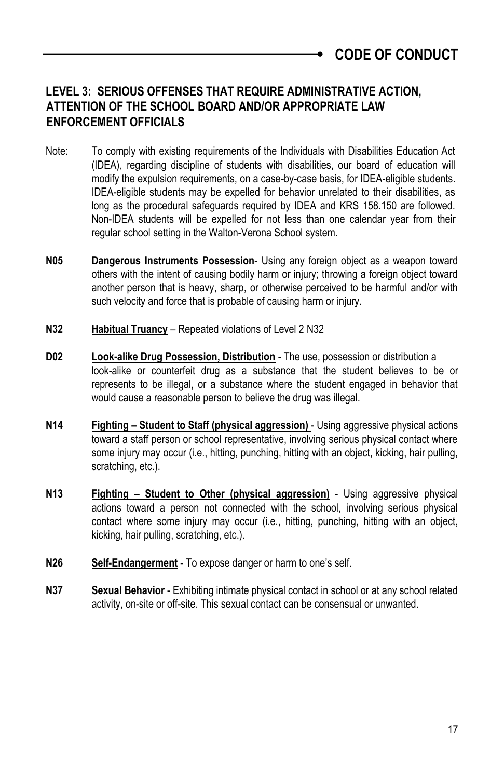**CODE OF CONDUCT**

## **LEVEL 3: SERIOUS OFFENSES THAT REQUIRE ADMINISTRATIVE ACTION, ATTENTION OF THE SCHOOL BOARD AND/OR APPROPRIATE LAW ENFORCEMENT OFFICIALS**

- Note: To comply with existing requirements of the Individuals with Disabilities Education Act (IDEA), regarding discipline of students with disabilities, our board of education will modify the expulsion requirements, on a case-by-case basis, for IDEA-eligible students. IDEA-eligible students may be expelled for behavior unrelated to their disabilities, as long as the procedural safeguards required by IDEA and KRS 158.150 are followed. Non-IDEA students will be expelled for not less than one calendar year from their regular school setting in the Walton-Verona School system.
- **N05 Dangerous Instruments Possession** Using any foreign object as a weapon toward others with the intent of causing bodily harm or injury; throwing a foreign object toward another person that is heavy, sharp, or otherwise perceived to be harmful and/or with such velocity and force that is probable of causing harm or injury.
- **N32 Habitual Truancy** Repeated violations of Level 2 N32
- **D02 Look-alike Drug Possession, Distribution** The use, possession or distribution a look-alike or counterfeit drug as a substance that the student believes to be or represents to be illegal, or a substance where the student engaged in behavior that would cause a reasonable person to believe the drug was illegal.
- **N14 Fighting – Student to Staff (physical aggression)**  Using aggressive physical actions toward a staff person or school representative, involving serious physical contact where some injury may occur (i.e., hitting, punching, hitting with an object, kicking, hair pulling, scratching, etc.).
- **N13 Fighting – Student to Other (physical aggression)** Using aggressive physical actions toward a person not connected with the school, involving serious physical contact where some injury may occur (i.e., hitting, punching, hitting with an object, kicking, hair pulling, scratching, etc.).
- **N26 Self-Endangerment** To expose danger or harm to one's self.
- **N37 Sexual Behavior** Exhibiting intimate physical contact in school or at any school related activity, on-site or off-site. This sexual contact can be consensual or unwanted.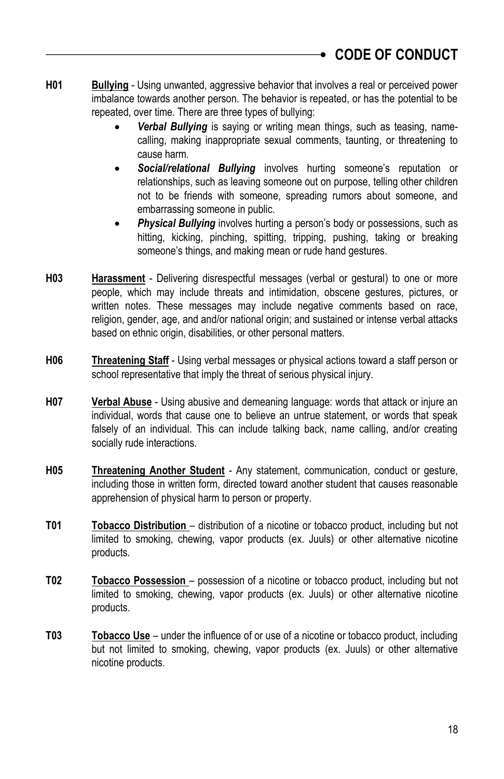- **H01 Bullying** Using unwanted, aggressive behavior that involves a real or perceived power imbalance towards another person. The behavior is repeated, or has the potential to be repeated, over time. There are three types of bullying:
	- *Verbal Bullying* is saying or writing mean things, such as teasing, namecalling, making inappropriate sexual comments, taunting, or threatening to cause harm.
	- *Social/relational Bullying* involves hurting someone's reputation or relationships, such as leaving someone out on purpose, telling other children not to be friends with someone, spreading rumors about someone, and embarrassing someone in public.
	- **Physical Bullying** involves hurting a person's body or possessions, such as hitting, kicking, pinching, spitting, tripping, pushing, taking or breaking someone's things, and making mean or rude hand gestures.
- **H03 Harassment** Delivering disrespectful messages (verbal or gestural) to one or more people, which may include threats and intimidation, obscene gestures, pictures, or written notes. These messages may include negative comments based on race, religion, gender, age, and and/or national origin; and sustained or intense verbal attacks based on ethnic origin, disabilities, or other personal matters.
- **H06 Threatening Staff** Using verbal messages or physical actions toward a staff person or school representative that imply the threat of serious physical injury.
- **H07 Verbal Abuse** Using abusive and demeaning language: words that attack or injure an individual, words that cause one to believe an untrue statement, or words that speak falsely of an individual. This can include talking back, name calling, and/or creating socially rude interactions.
- **H05 Threatening Another Student** Any statement, communication, conduct or gesture, including those in written form, directed toward another student that causes reasonable apprehension of physical harm to person or property.
- **T01 Tobacco Distribution** distribution of a nicotine or tobacco product, including but not limited to smoking, chewing, vapor products (ex. Juuls) or other alternative nicotine products.
- **T02 Tobacco Possession**  possession of a nicotine or tobacco product, including but not limited to smoking, chewing, vapor products (ex. Juuls) or other alternative nicotine products.
- **T03 Tobacco Use** under the influence of or use of a nicotine or tobacco product, including but not limited to smoking, chewing, vapor products (ex. Juuls) or other alternative nicotine products.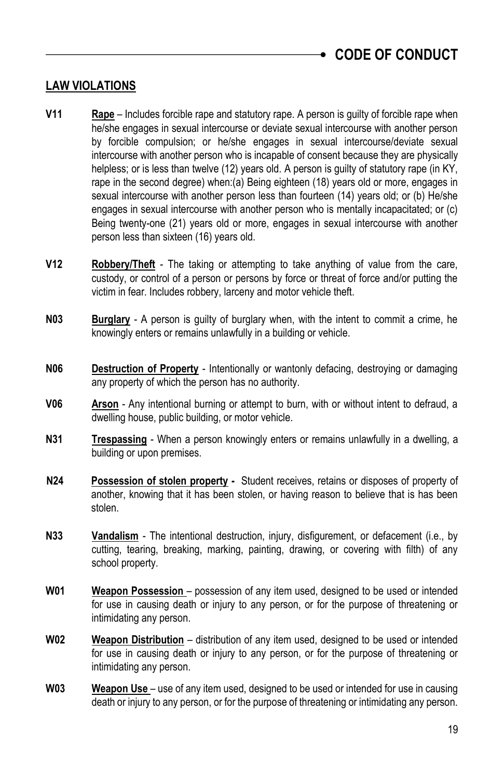## **LAW VIOLATIONS**

- **V11 Rape** Includes forcible rape and statutory rape. A person is guilty of forcible rape when he/she engages in sexual intercourse or deviate sexual intercourse with another person by forcible compulsion; or he/she engages in sexual intercourse/deviate sexual intercourse with another person who is incapable of consent because they are physically helpless; or is less than twelve (12) years old. A person is guilty of statutory rape (in KY, rape in the second degree) when:(a) Being eighteen (18) years old or more, engages in sexual intercourse with another person less than fourteen (14) years old; or (b) He/she engages in sexual intercourse with another person who is mentally incapacitated; or (c) Being twenty-one (21) years old or more, engages in sexual intercourse with another person less than sixteen (16) years old.
- **V12 Robbery/Theft** The taking or attempting to take anything of value from the care, custody, or control of a person or persons by force or threat of force and/or putting the victim in fear. Includes robbery, larceny and motor vehicle theft.
- **N03 Burglary** A person is guilty of burglary when, with the intent to commit a crime, he knowingly enters or remains unlawfully in a building or vehicle.
- **N06 Destruction of Property** Intentionally or wantonly defacing, destroying or damaging any property of which the person has no authority.
- **V06 Arson** Any intentional burning or attempt to burn, with or without intent to defraud, a dwelling house, public building, or motor vehicle.
- **N31 Trespassing** When a person knowingly enters or remains unlawfully in a dwelling, a building or upon premises.
- **N24 Possession of stolen property -** Student receives, retains or disposes of property of another, knowing that it has been stolen, or having reason to believe that is has been stolen.
- **N33 Vandalism** The intentional destruction, injury, disfigurement, or defacement (i.e., by cutting, tearing, breaking, marking, painting, drawing, or covering with filth) of any school property.
- **W01 Weapon Possession** possession of any item used, designed to be used or intended for use in causing death or injury to any person, or for the purpose of threatening or intimidating any person.
- **W02 Weapon Distribution** distribution of any item used, designed to be used or intended for use in causing death or injury to any person, or for the purpose of threatening or intimidating any person.
- **W03 Weapon Use** use of any item used, designed to be used or intended for use in causing death or injury to any person, or for the purpose of threatening or intimidating any person.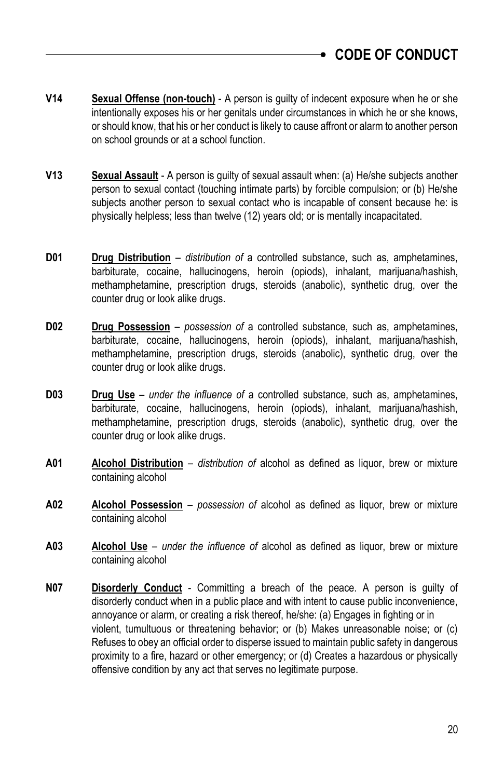- **V14 Sexual Offense (non-touch)** A person is guilty of indecent exposure when he or she intentionally exposes his or her genitals under circumstances in which he or she knows, or should know, that his or her conduct is likely to cause affront or alarm to another person on school grounds or at a school function.
- **V13 Sexual Assault** A person is guilty of sexual assault when: (a) He/she subjects another person to sexual contact (touching intimate parts) by forcible compulsion; or (b) He/she subjects another person to sexual contact who is incapable of consent because he: is physically helpless; less than twelve (12) years old; or is mentally incapacitated.
- **D01 Drug Distribution** *distribution of* a controlled substance, such as, amphetamines, barbiturate, cocaine, hallucinogens, heroin (opiods), inhalant, marijuana/hashish, methamphetamine, prescription drugs, steroids (anabolic), synthetic drug, over the counter drug or look alike drugs.
- **D02 Drug Possession** *possession of* a controlled substance, such as, amphetamines, barbiturate, cocaine, hallucinogens, heroin (opiods), inhalant, marijuana/hashish, methamphetamine, prescription drugs, steroids (anabolic), synthetic drug, over the counter drug or look alike drugs.
- **D03 Drug Use** *under the influence of* a controlled substance, such as, amphetamines, barbiturate, cocaine, hallucinogens, heroin (opiods), inhalant, marijuana/hashish, methamphetamine, prescription drugs, steroids (anabolic), synthetic drug, over the counter drug or look alike drugs.
- **A01 Alcohol Distribution** *distribution of* alcohol as defined as liquor, brew or mixture containing alcohol
- **A02 Alcohol Possession** *possession of* alcohol as defined as liquor, brew or mixture containing alcohol
- **A03 Alcohol Use** *under the influence of* alcohol as defined as liquor, brew or mixture containing alcohol
- **N07 Disorderly Conduct** Committing a breach of the peace. A person is guilty of disorderly conduct when in a public place and with intent to cause public inconvenience, annoyance or alarm, or creating a risk thereof, he/she: (a) Engages in fighting or in violent, tumultuous or threatening behavior; or (b) Makes unreasonable noise; or (c) Refuses to obey an official order to disperse issued to maintain public safety in dangerous proximity to a fire, hazard or other emergency; or (d) Creates a hazardous or physically offensive condition by any act that serves no legitimate purpose.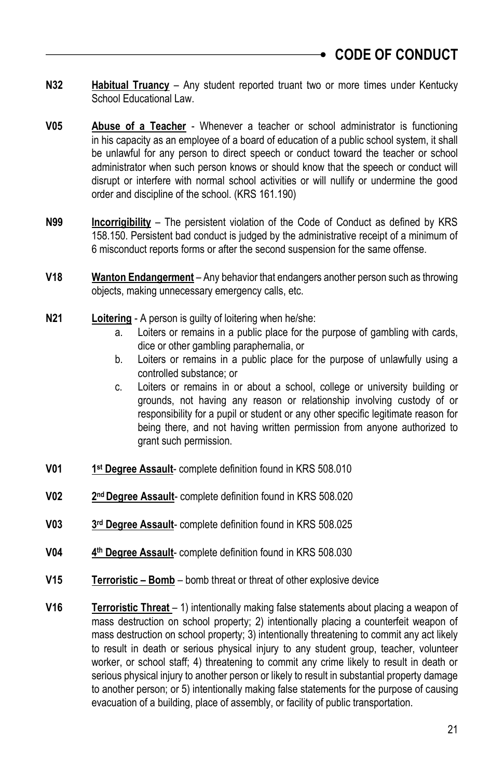- **N32 Habitual Truancy** Any student reported truant two or more times under Kentucky School Educational Law
- **V05 Abuse of a Teacher** Whenever a teacher or school administrator is functioning in his capacity as an employee of a board of education of a public school system, it shall be unlawful for any person to direct speech or conduct toward the teacher or school administrator when such person knows or should know that the speech or conduct will disrupt or interfere with normal school activities or will nullify or undermine the good order and discipline of the school. (KRS 161.190)
- **N99 Incorrigibility** The persistent violation of the Code of Conduct as defined by KRS 158.150. Persistent bad conduct is judged by the administrative receipt of a minimum of 6 misconduct reports forms or after the second suspension for the same offense.
- **V18 Wanton Endangerment** Any behavior that endangers another person such as throwing objects, making unnecessary emergency calls, etc.
- **N21 Loitering** A person is guilty of loitering when he/she:
	- a. Loiters or remains in a public place for the purpose of gambling with cards, dice or other gambling paraphernalia, or
	- b. Loiters or remains in a public place for the purpose of unlawfully using a controlled substance; or
	- c. Loiters or remains in or about a school, college or university building or grounds, not having any reason or relationship involving custody of or responsibility for a pupil or student or any other specific legitimate reason for being there, and not having written permission from anyone authorized to grant such permission.
- **V01 1 st Degree Assault**- complete definition found in KRS 508.010
- **V02 2** 2<sup>nd</sup> Degree Assault- complete definition found in KRS 508.020
- **V03 3** 3<sup>rd</sup> Degree Assault- complete definition found in KRS 508.025
- **V04 4 th Degree Assault**- complete definition found in KRS 508.030
- **V15 Terroristic – Bomb** bomb threat or threat of other explosive device
- **V16 Terroristic Threat**  1) intentionally making false statements about placing a weapon of mass destruction on school property; 2) intentionally placing a counterfeit weapon of mass destruction on school property; 3) intentionally threatening to commit any act likely to result in death or serious physical injury to any student group, teacher, volunteer worker, or school staff; 4) threatening to commit any crime likely to result in death or serious physical injury to another person or likely to result in substantial property damage to another person; or 5) intentionally making false statements for the purpose of causing evacuation of a building, place of assembly, or facility of public transportation.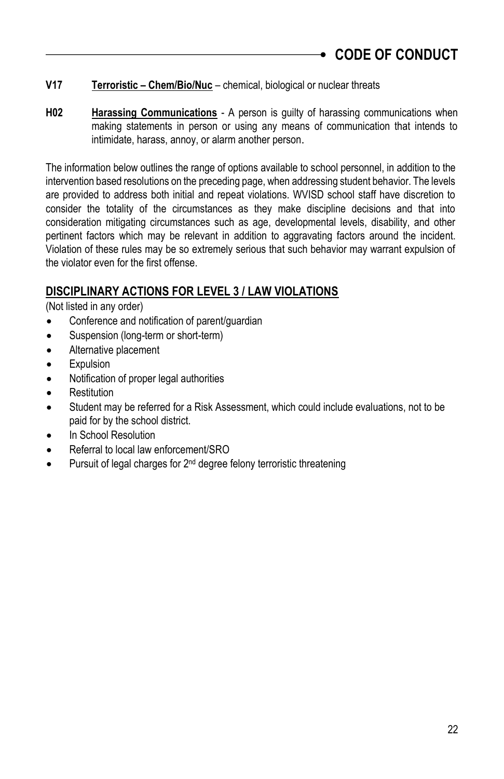- **V17 Terroristic – Chem/Bio/Nuc** chemical, biological or nuclear threats
- **H02 Harassing Communications** A person is guilty of harassing communications when making statements in person or using any means of communication that intends to intimidate, harass, annoy, or alarm another person.

The information below outlines the range of options available to school personnel, in addition to the intervention based resolutions on the preceding page, when addressing student behavior. The levels are provided to address both initial and repeat violations. WVISD school staff have discretion to consider the totality of the circumstances as they make discipline decisions and that into consideration mitigating circumstances such as age, developmental levels, disability, and other pertinent factors which may be relevant in addition to aggravating factors around the incident. Violation of these rules may be so extremely serious that such behavior may warrant expulsion of the violator even for the first offense.

## **DISCIPLINARY ACTIONS FOR LEVEL 3 / LAW VIOLATIONS**

(Not listed in any order)

- Conference and notification of parent/guardian
- Suspension (long-term or short-term)
- Alternative placement
- Expulsion
- Notification of proper legal authorities
- Restitution
- Student may be referred for a Risk Assessment, which could include evaluations, not to be paid for by the school district.
- In School Resolution
- Referral to local law enforcement/SRO
- Pursuit of legal charges for 2<sup>nd</sup> degree felony terroristic threatening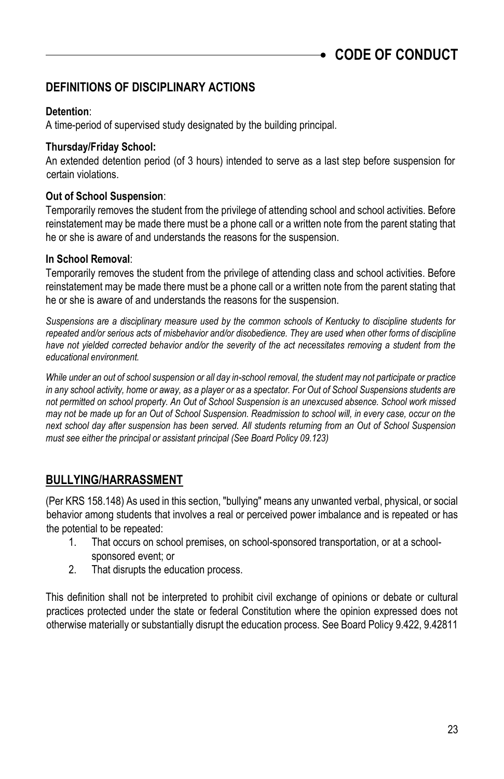## **DEFINITIONS OF DISCIPLINARY ACTIONS**

### **Detention**:

A time-period of supervised study designated by the building principal.

#### **Thursday/Friday School:**

An extended detention period (of 3 hours) intended to serve as a last step before suspension for certain violations.

### **Out of School Suspension**:

Temporarily removes the student from the privilege of attending school and school activities. Before reinstatement may be made there must be a phone call or a written note from the parent stating that he or she is aware of and understands the reasons for the suspension.

### **In School Removal**:

Temporarily removes the student from the privilege of attending class and school activities. Before reinstatement may be made there must be a phone call or a written note from the parent stating that he or she is aware of and understands the reasons for the suspension.

*Suspensions are a disciplinary measure used by the common schools of Kentucky to discipline students for repeated and/or serious acts of misbehavior and/or disobedience. They are used when other forms of discipline*  have not yielded corrected behavior and/or the severity of the act necessitates removing a student from the *educational environment.* 

*While under an out of school suspension or all day in-school removal, the student may not participate or practice*  in any school activity, home or away, as a player or as a spectator. For Out of School Suspensions students are *not permitted on school property. An Out of School Suspension is an unexcused absence. School work missed may not be made up for an Out of School Suspension. Readmission to school will, in every case, occur on the next school day after suspension has been served. All students returning from an Out of School Suspension must see either the principal or assistant principal (See Board Policy 09.123)*

## **BULLYING/HARRASSMENT**

(Per KRS 158.148) As used in this section, "bullying" means any unwanted verbal, physical, or social behavior among students that involves a real or perceived power imbalance and is repeated or has the potential to be repeated:

- 1. That occurs on school premises, on school-sponsored transportation, or at a schoolsponsored event; or
- 2. That disrupts the education process.

This definition shall not be interpreted to prohibit civil exchange of opinions or debate or cultural practices protected under the state or federal Constitution where the opinion expressed does not otherwise materially or substantially disrupt the education process. See Board Policy 9.422, 9.42811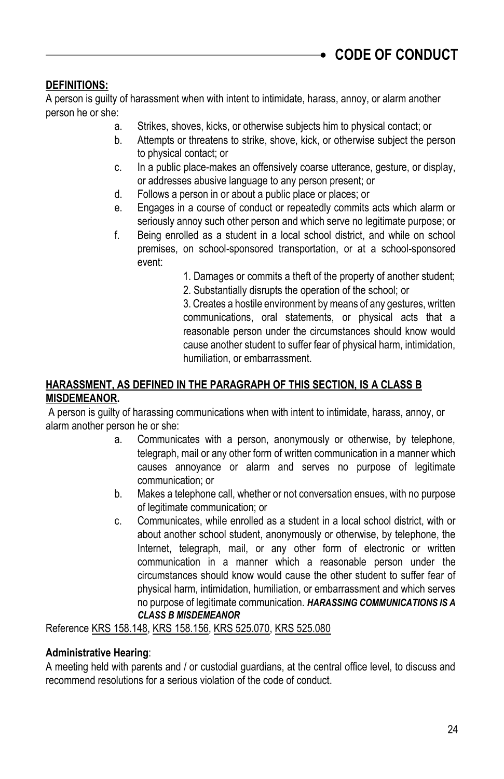### **DEFINITIONS:**

A person is guilty of harassment when with intent to intimidate, harass, annoy, or alarm another person he or she:

- a. Strikes, shoves, kicks, or otherwise subjects him to physical contact; or
- b. Attempts or threatens to strike, shove, kick, or otherwise subject the person to physical contact; or
- c. In a public place-makes an offensively coarse utterance, gesture, or display, or addresses abusive language to any person present; or
- d. Follows a person in or about a public place or places; or
- e. Engages in a course of conduct or repeatedly commits acts which alarm or seriously annoy such other person and which serve no legitimate purpose; or
- f. Being enrolled as a student in a local school district, and while on school premises, on school-sponsored transportation, or at a school-sponsored event:
	- 1. Damages or commits a theft of the property of another student;
	- 2. Substantially disrupts the operation of the school; or

3. Creates a hostile environment by means of any gestures, written communications, oral statements, or physical acts that a reasonable person under the circumstances should know would cause another student to suffer fear of physical harm, intimidation, humiliation, or embarrassment.

### **HARASSMENT, AS DEFINED IN THE PARAGRAPH OF THIS SECTION, IS A CLASS B MISDEMEANOR.**

A person is guilty of harassing communications when with intent to intimidate, harass, annoy, or alarm another person he or she:

- a. Communicates with a person, anonymously or otherwise, by telephone, telegraph, mail or any other form of written communication in a manner which causes annoyance or alarm and serves no purpose of legitimate communication; or
- b. Makes a telephone call, whether or not conversation ensues, with no purpose of legitimate communication; or
- c. Communicates, while enrolled as a student in a local school district, with or about another school student, anonymously or otherwise, by telephone, the Internet, telegraph, mail, or any other form of electronic or written communication in a manner which a reasonable person under the circumstances should know would cause the other student to suffer fear of physical harm, intimidation, humiliation, or embarrassment and which serves no purpose of legitimate communication. *HARASSING COMMUNICATIONS IS A CLASS B MISDEMEANOR*

Reference KRS 158.148, KRS 158.156, KRS 525.070, KRS 525.080

### **Administrative Hearing**:

A meeting held with parents and / or custodial guardians, at the central office level, to discuss and recommend resolutions for a serious violation of the code of conduct.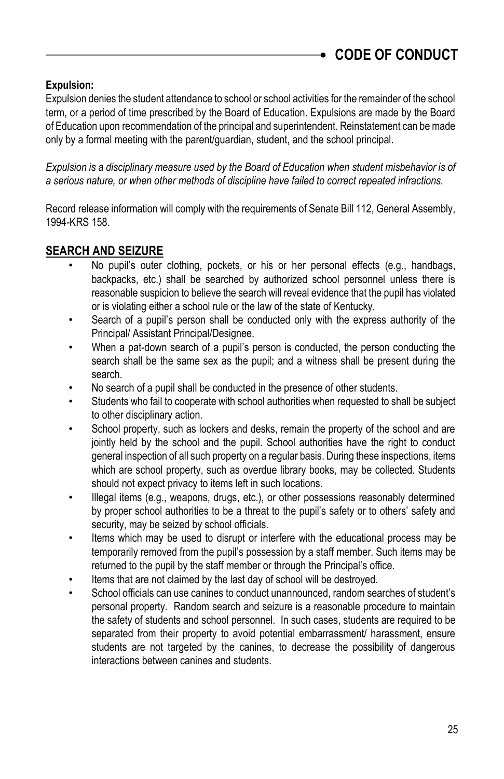### **Expulsion:**

Expulsion denies the student attendance to school or school activities for the remainder of the school term, or a period of time prescribed by the Board of Education. Expulsions are made by the Board of Education upon recommendation of the principal and superintendent. Reinstatement can be made only by a formal meeting with the parent/guardian, student, and the school principal.

*Expulsion is a disciplinary measure used by the Board of Education when student misbehavior is of a serious nature, or when other methods of discipline have failed to correct repeated infractions.* 

Record release information will comply with the requirements of Senate Bill 112, General Assembly, 1994-KRS 158.

## **SEARCH AND SEIZURE**

- No pupil's outer clothing, pockets, or his or her personal effects (e.g., handbags, backpacks, etc.) shall be searched by authorized school personnel unless there is reasonable suspicion to believe the search will reveal evidence that the pupil has violated or is violating either a school rule or the law of the state of Kentucky.
- Search of a pupil's person shall be conducted only with the express authority of the Principal/ Assistant Principal/Designee.
- When a pat-down search of a pupil's person is conducted, the person conducting the search shall be the same sex as the pupil; and a witness shall be present during the search.
- No search of a pupil shall be conducted in the presence of other students.
- Students who fail to cooperate with school authorities when requested to shall be subject to other disciplinary action.
- School property, such as lockers and desks, remain the property of the school and are jointly held by the school and the pupil. School authorities have the right to conduct general inspection of all such property on a regular basis. During these inspections, items which are school property, such as overdue library books, may be collected. Students should not expect privacy to items left in such locations.
- Illegal items (e.g., weapons, drugs, etc.), or other possessions reasonably determined by proper school authorities to be a threat to the pupil's safety or to others' safety and security, may be seized by school officials.
- Items which may be used to disrupt or interfere with the educational process may be temporarily removed from the pupil's possession by a staff member. Such items may be returned to the pupil by the staff member or through the Principal's office.
- Items that are not claimed by the last day of school will be destroyed.
- School officials can use canines to conduct unannounced, random searches of student's personal property. Random search and seizure is a reasonable procedure to maintain the safety of students and school personnel. In such cases, students are required to be separated from their property to avoid potential embarrassment/ harassment, ensure students are not targeted by the canines, to decrease the possibility of dangerous interactions between canines and students.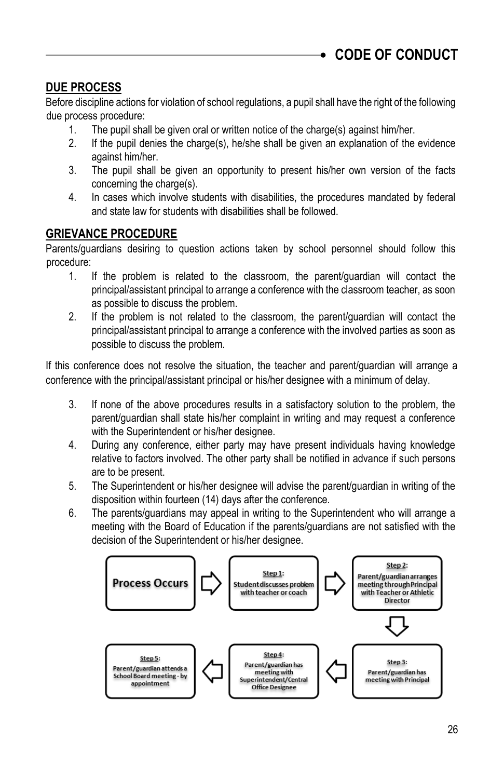## **DUE PROCESS**

Before discipline actions for violation of school regulations, a pupil shall have the right of the following due process procedure:

- 1. The pupil shall be given oral or written notice of the charge(s) against him/her.
- 2. If the pupil denies the charge(s), he/she shall be given an explanation of the evidence against him/her.
- 3. The pupil shall be given an opportunity to present his/her own version of the facts concerning the charge(s).
- 4. In cases which involve students with disabilities, the procedures mandated by federal and state law for students with disabilities shall be followed.

## **GRIEVANCE PROCEDURE**

Parents/guardians desiring to question actions taken by school personnel should follow this procedure:

- 1. If the problem is related to the classroom, the parent/guardian will contact the principal/assistant principal to arrange a conference with the classroom teacher, as soon as possible to discuss the problem.
- 2. If the problem is not related to the classroom, the parent/guardian will contact the principal/assistant principal to arrange a conference with the involved parties as soon as possible to discuss the problem.

If this conference does not resolve the situation, the teacher and parent/guardian will arrange a conference with the principal/assistant principal or his/her designee with a minimum of delay.

- 3. If none of the above procedures results in a satisfactory solution to the problem, the parent/guardian shall state his/her complaint in writing and may request a conference with the Superintendent or his/her designee.
- 4. During any conference, either party may have present individuals having knowledge relative to factors involved. The other party shall be notified in advance if such persons are to be present.
- 5. The Superintendent or his/her designee will advise the parent/guardian in writing of the disposition within fourteen (14) days after the conference.
- 6. The parents/guardians may appeal in writing to the Superintendent who will arrange a meeting with the Board of Education if the parents/guardians are not satisfied with the decision of the Superintendent or his/her designee.

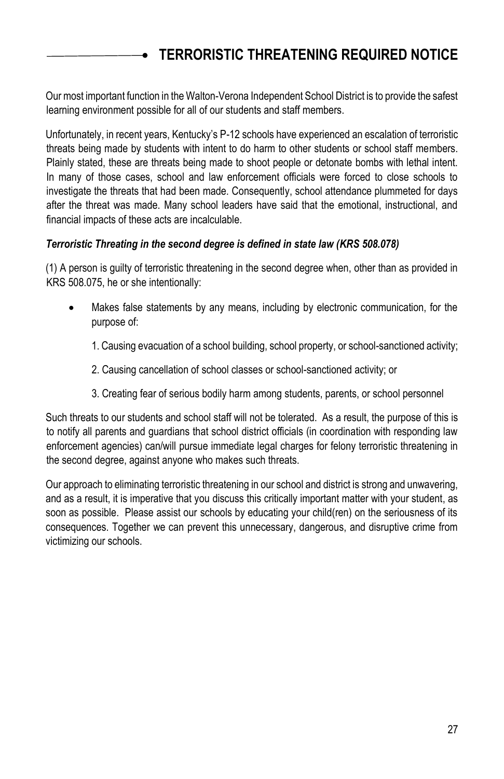# <span id="page-26-0"></span>**TERRORISTIC THREATENING REQUIRED NOTICE**

Our most important function in the Walton-Verona Independent School District is to provide the safest learning environment possible for all of our students and staff members.

Unfortunately, in recent years, Kentucky's P-12 schools have experienced an escalation of terroristic threats being made by students with intent to do harm to other students or school staff members. Plainly stated, these are threats being made to shoot people or detonate bombs with lethal intent. In many of those cases, school and law enforcement officials were forced to close schools to investigate the threats that had been made. Consequently, school attendance plummeted for days after the threat was made. Many school leaders have said that the emotional, instructional, and financial impacts of these acts are incalculable.

#### *Terroristic Threating in the second degree is defined in state law (KRS 508.078)*

(1) A person is guilty of terroristic threatening in the second degree when, other than as provided in KRS 508.075, he or she intentionally:

- Makes false statements by any means, including by electronic communication, for the purpose of:
	- 1. Causing evacuation of a school building, school property, or school-sanctioned activity;
	- 2. Causing cancellation of school classes or school-sanctioned activity; or
	- 3. Creating fear of serious bodily harm among students, parents, or school personnel

Such threats to our students and school staff will not be tolerated. As a result, the purpose of this is to notify all parents and guardians that school district officials (in coordination with responding law enforcement agencies) can/will pursue immediate legal charges for felony terroristic threatening in the second degree, against anyone who makes such threats.

Our approach to eliminating terroristic threatening in our school and district is strong and unwavering, and as a result, it is imperative that you discuss this critically important matter with your student, as soon as possible. Please assist our schools by educating your child(ren) on the seriousness of its consequences. Together we can prevent this unnecessary, dangerous, and disruptive crime from victimizing our schools.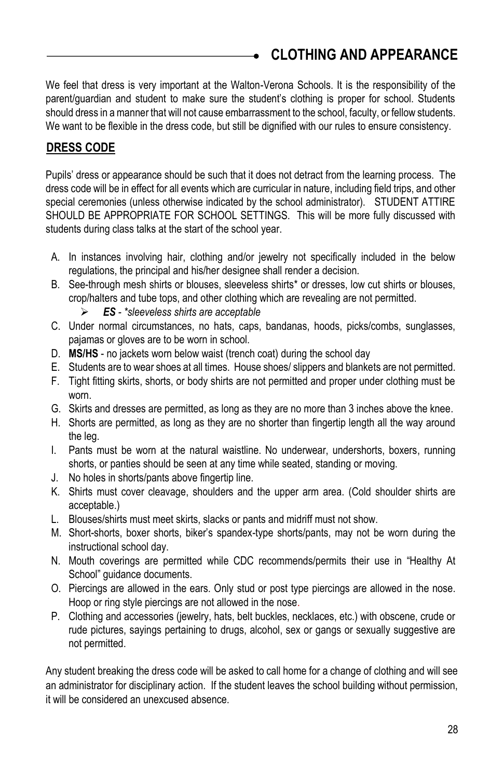# <span id="page-27-0"></span>**CLOTHING AND APPEARANCE**

We feel that dress is very important at the Walton-Verona Schools. It is the responsibility of the parent/guardian and student to make sure the student's clothing is proper for school. Students should dress in a manner that will not cause embarrassment to the school, faculty, or fellow students. We want to be flexible in the dress code, but still be dignified with our rules to ensure consistency.

## **DRESS CODE**

Pupils' dress or appearance should be such that it does not detract from the learning process. The dress code will be in effect for all events which are curricular in nature, including field trips, and other special ceremonies (unless otherwise indicated by the school administrator). STUDENT ATTIRE SHOULD BE APPROPRIATE FOR SCHOOL SETTINGS. This will be more fully discussed with students during class talks at the start of the school year.

- A. In instances involving hair, clothing and/or jewelry not specifically included in the below regulations, the principal and his/her designee shall render a decision.
- B. See-through mesh shirts or blouses, sleeveless shirts\* or dresses, low cut shirts or blouses, crop/halters and tube tops, and other clothing which are revealing are not permitted.
	- *ES - \*sleeveless shirts are acceptable*
- C. Under normal circumstances, no hats, caps, bandanas, hoods, picks/combs, sunglasses, pajamas or gloves are to be worn in school.
- D. **MS/HS**  no jackets worn below waist (trench coat) during the school day
- E. Students are to wear shoes at all times. House shoes/ slippers and blankets are not permitted.
- F. Tight fitting skirts, shorts, or body shirts are not permitted and proper under clothing must be worn.
- G. Skirts and dresses are permitted, as long as they are no more than 3 inches above the knee.
- H. Shorts are permitted, as long as they are no shorter than fingertip length all the way around the leg.
- I. Pants must be worn at the natural waistline. No underwear, undershorts, boxers, running shorts, or panties should be seen at any time while seated, standing or moving.
- J. No holes in shorts/pants above fingertip line.
- K. Shirts must cover cleavage, shoulders and the upper arm area. (Cold shoulder shirts are acceptable.)
- L. Blouses/shirts must meet skirts, slacks or pants and midriff must not show.
- M. Short-shorts, boxer shorts, biker's spandex-type shorts/pants, may not be worn during the instructional school day.
- N. Mouth coverings are permitted while CDC recommends/permits their use in "Healthy At School" guidance documents.
- O. Piercings are allowed in the ears. Only stud or post type piercings are allowed in the nose. Hoop or ring style piercings are not allowed in the nose.
- P. Clothing and accessories (jewelry, hats, belt buckles, necklaces, etc.) with obscene, crude or rude pictures, sayings pertaining to drugs, alcohol, sex or gangs or sexually suggestive are not permitted.

Any student breaking the dress code will be asked to call home for a change of clothing and will see an administrator for disciplinary action. If the student leaves the school building without permission, it will be considered an unexcused absence.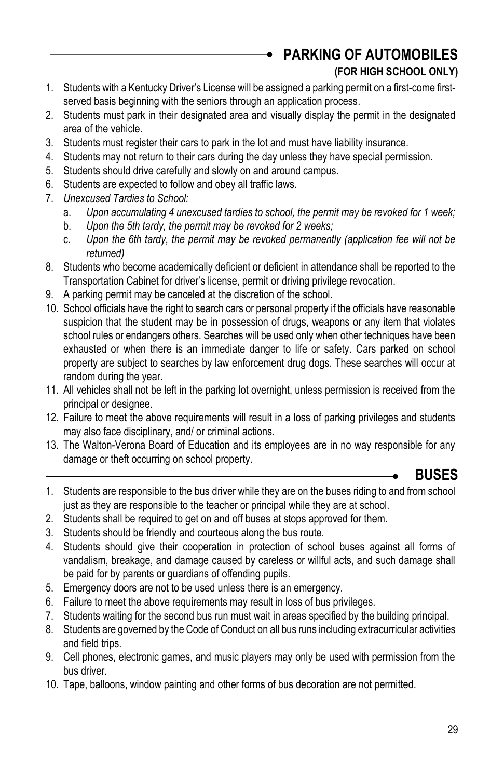<span id="page-28-0"></span>**PARKING OF AUTOMOBILES** 

## **(FOR HIGH SCHOOL ONLY)**

- 1. Students with a Kentucky Driver's License will be assigned a parking permit on a first-come firstserved basis beginning with the seniors through an application process.
- 2. Students must park in their designated area and visually display the permit in the designated area of the vehicle.
- 3. Students must register their cars to park in the lot and must have liability insurance.
- 4. Students may not return to their cars during the day unless they have special permission.
- 5. Students should drive carefully and slowly on and around campus.
- 6. Students are expected to follow and obey all traffic laws.
- 7. *Unexcused Tardies to School:*
	- a. *Upon accumulating 4 unexcused tardies to school, the permit may be revoked for 1 week;*
	- b. *Upon the 5th tardy, the permit may be revoked for 2 weeks;*
	- c. *Upon the 6th tardy, the permit may be revoked permanently (application fee will not be returned)*
- 8. Students who become academically deficient or deficient in attendance shall be reported to the Transportation Cabinet for driver's license, permit or driving privilege revocation.
- 9. A parking permit may be canceled at the discretion of the school.
- 10. School officials have the right to search cars or personal property if the officials have reasonable suspicion that the student may be in possession of drugs, weapons or any item that violates school rules or endangers others. Searches will be used only when other techniques have been exhausted or when there is an immediate danger to life or safety. Cars parked on school property are subject to searches by law enforcement drug dogs. These searches will occur at random during the year.
- 11. All vehicles shall not be left in the parking lot overnight, unless permission is received from the principal or designee.
- 12. Failure to meet the above requirements will result in a loss of parking privileges and students may also face disciplinary, and/ or criminal actions.
- 13. The Walton-Verona Board of Education and its employees are in no way responsible for any damage or theft occurring on school property.

# <span id="page-28-1"></span>**BUSES**

- 1. Students are responsible to the bus driver while they are on the buses riding to and from school just as they are responsible to the teacher or principal while they are at school.
- 2. Students shall be required to get on and off buses at stops approved for them.
- 3. Students should be friendly and courteous along the bus route.
- 4. Students should give their cooperation in protection of school buses against all forms of vandalism, breakage, and damage caused by careless or willful acts, and such damage shall be paid for by parents or guardians of offending pupils.
- 5. Emergency doors are not to be used unless there is an emergency.
- 6. Failure to meet the above requirements may result in loss of bus privileges.
- 7. Students waiting for the second bus run must wait in areas specified by the building principal.
- 8. Students are governed by the Code of Conduct on all bus runs including extracurricular activities and field trips.
- 9. Cell phones, electronic games, and music players may only be used with permission from the bus driver.
- 10. Tape, balloons, window painting and other forms of bus decoration are not permitted.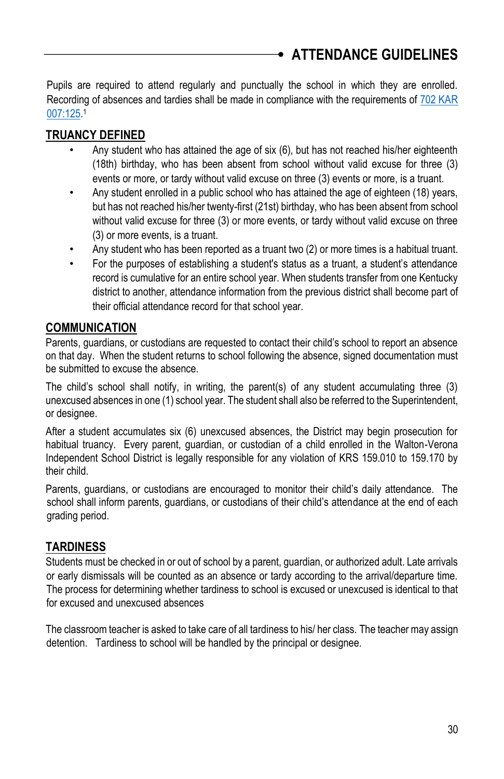Pupils are required to attend regularly and punctually the school in which they are enrolled. Recording of absences and tardies shall be made in compliance with the requirements of [702 KAR](http://policy.ksba.org/documentmanager.asp?requestarticle=/kar/702/007/125.htm&requesttype=kar)  [007:125.](http://policy.ksba.org/documentmanager.asp?requestarticle=/kar/702/007/125.htm&requesttype=kar) 1

## **TRUANCY DEFINED**

- <span id="page-29-0"></span>• Any student who has attained the age of six (6), but has not reached his/her eighteenth (18th) birthday, who has been absent from school without valid excuse for three (3) events or more, or tardy without valid excuse on three (3) events or more, is a truant.
- Any student enrolled in a public school who has attained the age of eighteen (18) years, but has not reached his/her twenty-first (21st) birthday, who has been absent from school without valid excuse for three (3) or more events, or tardy without valid excuse on three (3) or more events, is a truant.
- Any student who has been reported as a truant two (2) or more times is a habitual truant.
- For the purposes of establishing a student's status as a truant, a student's attendance record is cumulative for an entire school year. When students transfer from one Kentucky district to another, attendance information from the previous district shall become part of their official attendance record for that school year.

## **COMMUNICATION**

Parents, guardians, or custodians are requested to contact their child's school to report an absence on that day. When the student returns to school following the absence, signed documentation must be submitted to excuse the absence.

The child's school shall notify, in writing, the parent(s) of any student accumulating three (3) unexcused absences in one (1) school year. The student shall also be referred to the Superintendent, or designee.

After a student accumulates six (6) unexcused absences, the District may begin prosecution for habitual truancy. Every parent, guardian, or custodian of a child enrolled in the Walton-Verona Independent School District is legally responsible for any violation of KRS 159.010 to 159.170 by their child.

Parents, guardians, or custodians are encouraged to monitor their child's daily attendance. The school shall inform parents, guardians, or custodians of their child's attendance at the end of each grading period.

## **TARDINESS**

Students must be checked in or out of school by a parent, guardian, or authorized adult. Late arrivals or early dismissals will be counted as an absence or tardy according to the arrival/departure time. The process for determining whether tardiness to school is excused or unexcused is identical to that for excused and unexcused absences

The classroom teacher is asked to take care of all tardiness to his/ her class. The teacher may assign detention. Tardiness to school will be handled by the principal or designee.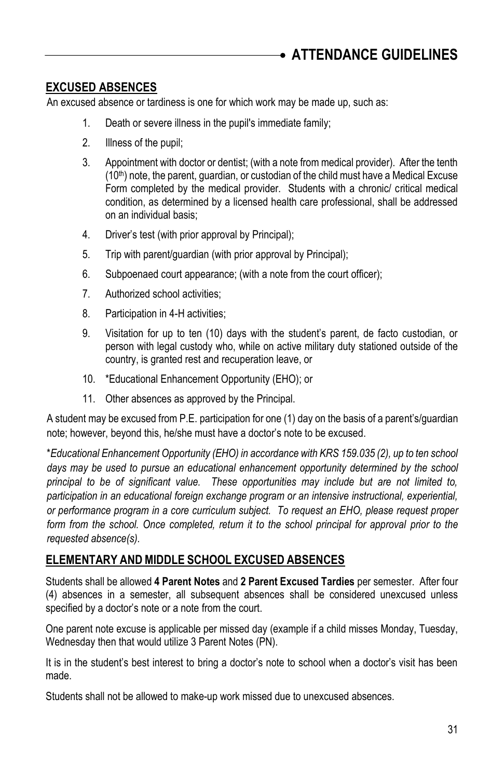## **EXCUSED ABSENCES**

An excused absence or tardiness is one for which work may be made up, such as:

- 1. Death or severe illness in the pupil's immediate family;
- 2. Illness of the pupil;
- 3. Appointment with doctor or dentist; (with a note from medical provider). After the tenth  $(10<sup>th</sup>)$  note, the parent, guardian, or custodian of the child must have a Medical Excuse Form completed by the medical provider. Students with a chronic/ critical medical condition, as determined by a licensed health care professional, shall be addressed on an individual basis;
- 4. Driver's test (with prior approval by Principal);
- 5. Trip with parent/guardian (with prior approval by Principal);
- 6. Subpoenaed court appearance; (with a note from the court officer);
- 7. Authorized school activities;
- 8. Participation in 4-H activities;
- 9. Visitation for up to ten (10) days with the student's parent, de facto custodian, or person with legal custody who, while on active military duty stationed outside of the country, is granted rest and recuperation leave, or
- 10. \*Educational Enhancement Opportunity (EHO); or
- 11. Other absences as approved by the Principal.

A student may be excused from P.E. participation for one (1) day on the basis of a parent's/guardian note; however, beyond this, he/she must have a doctor's note to be excused.

\**Educational Enhancement Opportunity (EHO) in accordance with KRS 159.035 (2), up to ten school*  days may be used to pursue an educational enhancement opportunity determined by the school *principal to be of significant value. These opportunities may include but are not limited to, participation in an educational foreign exchange program or an intensive instructional, experiential, or performance program in a core curriculum subject. To request an EHO, please request proper form from the school. Once completed, return it to the school principal for approval prior to the requested absence(s).*

### **ELEMENTARY AND MIDDLE SCHOOL EXCUSED ABSENCES**

Students shall be allowed **4 Parent Notes** and **2 Parent Excused Tardies** per semester. After four (4) absences in a semester, all subsequent absences shall be considered unexcused unless specified by a doctor's note or a note from the court.

One parent note excuse is applicable per missed day (example if a child misses Monday, Tuesday, Wednesday then that would utilize 3 Parent Notes (PN).

It is in the student's best interest to bring a doctor's note to school when a doctor's visit has been made.

Students shall not be allowed to make-up work missed due to unexcused absences.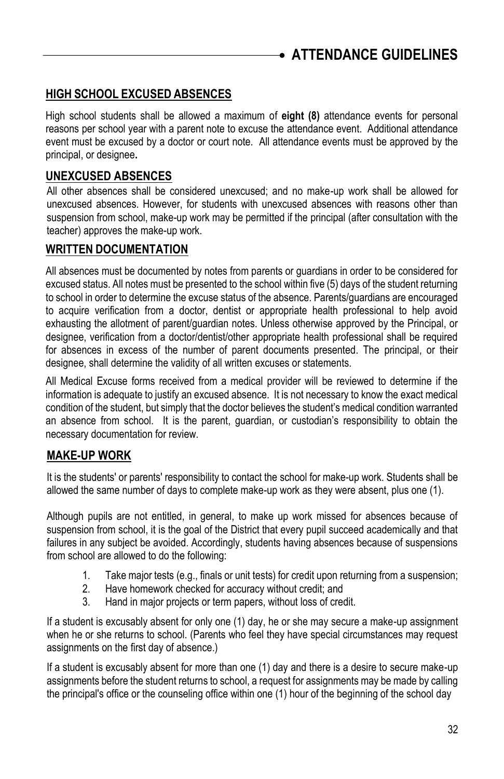## **HIGH SCHOOL EXCUSED ABSENCES**

High school students shall be allowed a maximum of **eight (8)** attendance events for personal reasons per school year with a parent note to excuse the attendance event. Additional attendance event must be excused by a doctor or court note. All attendance events must be approved by the principal, or designee**.**

### **UNEXCUSED ABSENCES**

All other absences shall be considered unexcused; and no make-up work shall be allowed for unexcused absences. However, for students with unexcused absences with reasons other than suspension from school, make-up work may be permitted if the principal (after consultation with the teacher) approves the make-up work.

### **WRITTEN DOCUMENTATION**

All absences must be documented by notes from parents or guardians in order to be considered for excused status. All notes must be presented to the school within five (5) days of the student returning to school in order to determine the excuse status of the absence. Parents/guardians are encouraged to acquire verification from a doctor, dentist or appropriate health professional to help avoid exhausting the allotment of parent/guardian notes. Unless otherwise approved by the Principal, or designee, verification from a doctor/dentist/other appropriate health professional shall be required for absences in excess of the number of parent documents presented. The principal, or their designee, shall determine the validity of all written excuses or statements.

All Medical Excuse forms received from a medical provider will be reviewed to determine if the information is adequate to justify an excused absence. It is not necessary to know the exact medical condition of the student, but simply that the doctor believes the student's medical condition warranted an absence from school. It is the parent, guardian, or custodian's responsibility to obtain the necessary documentation for review.

### **MAKE-UP WORK**

It is the students' or parents' responsibility to contact the school for make-up work. Students shall be allowed the same number of days to complete make-up work as they were absent, plus one (1).

Although pupils are not entitled, in general, to make up work missed for absences because of suspension from school, it is the goal of the District that every pupil succeed academically and that failures in any subject be avoided. Accordingly, students having absences because of suspensions from school are allowed to do the following:

- 1. Take major tests (e.g., finals or unit tests) for credit upon returning from a suspension;
- 2. Have homework checked for accuracy without credit; and
- 3. Hand in major projects or term papers, without loss of credit.

If a student is excusably absent for only one (1) day, he or she may secure a make-up assignment when he or she returns to school. (Parents who feel they have special circumstances may request assignments on the first day of absence.)

If a student is excusably absent for more than one (1) day and there is a desire to secure make-up assignments before the student returns to school, a request for assignments may be made by calling the principal's office or the counseling office within one (1) hour of the beginning of the school day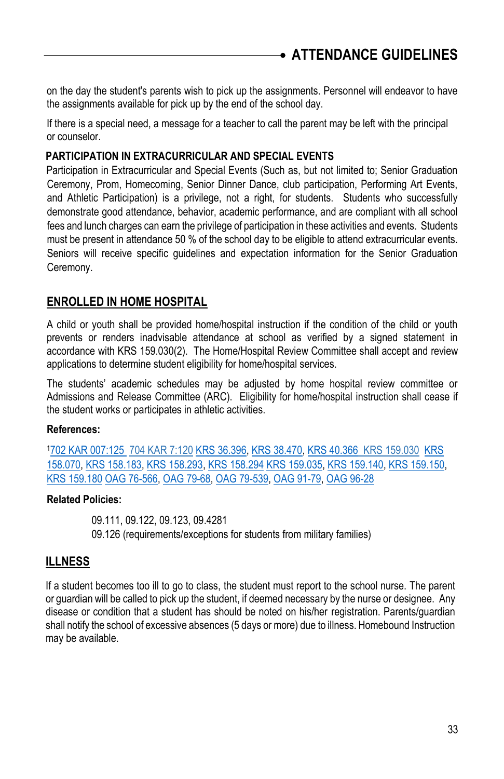on the day the student's parents wish to pick up the assignments. Personnel will endeavor to have the assignments available for pick up by the end of the school day.

If there is a special need, a message for a teacher to call the parent may be left with the principal or counselor.

#### **PARTICIPATION IN EXTRACURRICULAR AND SPECIAL EVENTS**

Participation in Extracurricular and Special Events (Such as, but not limited to; Senior Graduation Ceremony, Prom, Homecoming, Senior Dinner Dance, club participation, Performing Art Events, and Athletic Participation) is a privilege, not a right, for students. Students who successfully demonstrate good attendance, behavior, academic performance, and are compliant with all school fees and lunch charges can earn the privilege of participation in these activities and events. Students must be present in attendance 50 % of the school day to be eligible to attend extracurricular events. Seniors will receive specific guidelines and expectation information for the Senior Graduation Ceremony.

#### **ENROLLED IN HOME HOSPITAL**

A child or youth shall be provided home/hospital instruction if the condition of the child or youth prevents or renders inadvisable attendance at school as verified by a signed statement in accordance with KRS 159.030(2). The Home/Hospital Review Committee shall accept and review applications to determine student eligibility for home/hospital services.

The students' academic schedules may be adjusted by home hospital review committee or Admissions and Release Committee (ARC). Eligibility for home/hospital instruction shall cease if the student works or participates in athletic activities.

#### **References:**

<sup>1</sup>[702 KAR 007:125](http://policy.ksba.org/documentmanager.asp?requestarticle=/kar/702/007/125.htm&requesttype=kar) [704 KAR 7:120](http://www.lrc.state.ky.us/kar/704/007/120.htm) [KRS 36.396,](http://policy.ksba.org/documentmanager.asp?requestarticle=/krs/036-00/396.pdf&requesttype=krs) [KRS 38.470,](http://policy.ksba.org/documentmanager.asp?requestarticle=/krs/038-00/470.pdf&requesttype=krs) [KRS 40.366](http://policy.ksba.org/documentmanager.asp?requestarticle=/krs/040-00/366.pdf&requesttype=krs) KRS [159.030](http://policy.ksba.org/documentmanager.asp?requestarticle=/krs/040-00/366.pdf&requesttype=krs) [KRS](http://policy.ksba.org/documentmanager.asp?requestarticle=/krs/158-00/070.pdf&requesttype=krs)  [158.070,](http://policy.ksba.org/documentmanager.asp?requestarticle=/krs/158-00/070.pdf&requesttype=krs) [KRS 158.183,](http://policy.ksba.org/documentmanager.asp?requestarticle=/krs/158-00/183.pdf&requesttype=krs) [KRS 158.293,](http://policy.ksba.org/documentmanager.asp?requestarticle=/krs/158-00/293.pdf&requesttype=krs) [KRS 158.294](http://policy.ksba.org/documentmanager.asp?requestarticle=/krs/158-00/294.pdf&requesttype=krs) [KRS 159.035,](http://policy.ksba.org/documentmanager.asp?requestarticle=/krs/159-00/035.pdf&requesttype=krs) [KRS 159.140,](http://policy.ksba.org/documentmanager.asp?requestarticle=/krs/159-00/140.pdf&requesttype=krs) [KRS 159.150,](http://policy.ksba.org/documentmanager.asp?requestarticle=/krs/159-00/150.pdf&requesttype=krs)  [KRS 159.180](http://policy.ksba.org/documentmanager.asp?requestarticle=/krs/159-00/180.pdf&requesttype=krs) [OAG 76-566,](http://policy.ksba.org/documentmanager.asp?requestarticle=/civil/opinions/oag76566.htm&requesttype=oag) [OAG 79-68,](http://policy.ksba.org/documentmanager.asp?requestarticle=/civil/opinions/oag7968.htm&requesttype=oag) [OAG 79-539,](http://policy.ksba.org/documentmanager.asp?requestarticle=/civil/opinions/oag79539.htm&requesttype=oag) [OAG 91-79,](http://policy.ksba.org/documentmanager.asp?requestarticle=/civil/opinions/oag9179.htm&requesttype=oag) [OAG 96-28](http://policy.ksba.org/documentmanager.asp?requestarticle=/civil/opinions/oag9628.htm&requesttype=oag)

#### **Related Policies:**

09.111, 09.122, 09.123, 09.4281 09.126 (requirements/exceptions for students from military families)

#### **ILLNESS**

If a student becomes too ill to go to class, the student must report to the school nurse. The parent or guardian will be called to pick up the student, if deemed necessary by the nurse or designee. Any disease or condition that a student has should be noted on his/her registration. Parents/guardian shall notify the school of excessive absences (5 days or more) due to illness. Homebound Instruction may be available.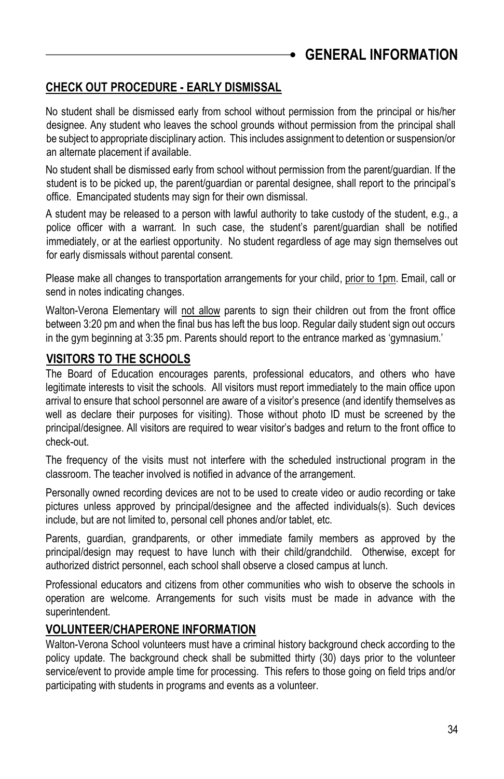## <span id="page-33-0"></span>**GENERAL INFORMATION**

## **CHECK OUT PROCEDURE - EARLY DISMISSAL**

No student shall be dismissed early from school without permission from the principal or his/her designee. Any student who leaves the school grounds without permission from the principal shall be subject to appropriate disciplinary action. This includes assignment to detention or suspension/or an alternate placement if available.

No student shall be dismissed early from school without permission from the parent/guardian. If the student is to be picked up, the parent/guardian or parental designee, shall report to the principal's office. Emancipated students may sign for their own dismissal.

A student may be released to a person with lawful authority to take custody of the student, e.g., a police officer with a warrant. In such case, the student's parent/guardian shall be notified immediately, or at the earliest opportunity. No student regardless of age may sign themselves out for early dismissals without parental consent.

Please make all changes to transportation arrangements for your child, prior to 1pm. Email, call or send in notes indicating changes.

Walton-Verona Elementary will not allow parents to sign their children out from the front office between 3:20 pm and when the final bus has left the bus loop. Regular daily student sign out occurs in the gym beginning at 3:35 pm. Parents should report to the entrance marked as 'gymnasium.'

## **VISITORS TO THE SCHOOLS**

The Board of Education encourages parents, professional educators, and others who have legitimate interests to visit the schools. All visitors must report immediately to the main office upon arrival to ensure that school personnel are aware of a visitor's presence (and identify themselves as well as declare their purposes for visiting). Those without photo ID must be screened by the principal/designee. All visitors are required to wear visitor's badges and return to the front office to check-out.

The frequency of the visits must not interfere with the scheduled instructional program in the classroom. The teacher involved is notified in advance of the arrangement.

Personally owned recording devices are not to be used to create video or audio recording or take pictures unless approved by principal/designee and the affected individuals(s). Such devices include, but are not limited to, personal cell phones and/or tablet, etc.

Parents, guardian, grandparents, or other immediate family members as approved by the principal/design may request to have lunch with their child/grandchild. Otherwise, except for authorized district personnel, each school shall observe a closed campus at lunch.

Professional educators and citizens from other communities who wish to observe the schools in operation are welcome. Arrangements for such visits must be made in advance with the superintendent.

### **VOLUNTEER/CHAPERONE INFORMATION**

Walton-Verona School volunteers must have a criminal history background check according to the policy update. The background check shall be submitted thirty (30) days prior to the volunteer service/event to provide ample time for processing. This refers to those going on field trips and/or participating with students in programs and events as a volunteer.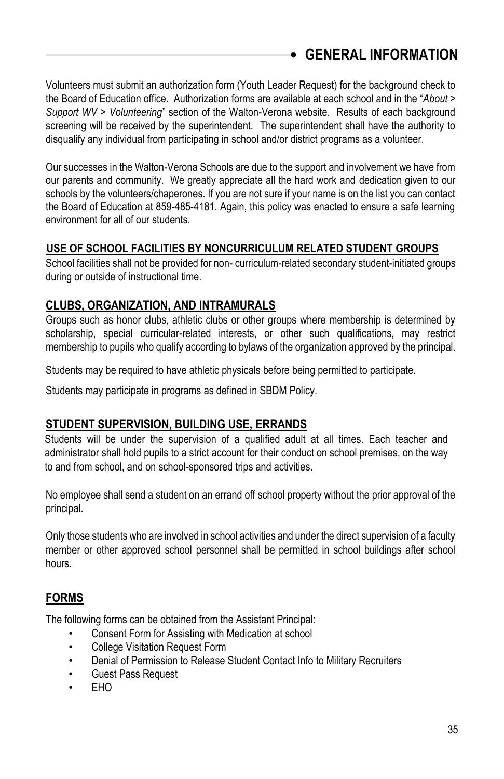# **GENERAL INFORMATION**

Volunteers must submit an authorization form (Youth Leader Request) for the background check to the Board of Education office. Authorization forms are available at each school and in the "*About > Support WV > Volunteering*" section of the Walton-Verona website. Results of each background screening will be received by the superintendent. The superintendent shall have the authority to disqualify any individual from participating in school and/or district programs as a volunteer.

Our successes in the Walton-Verona Schools are due to the support and involvement we have from our parents and community. We greatly appreciate all the hard work and dedication given to our schools by the volunteers/chaperones. If you are not sure if your name is on the list you can contact the Board of Education at 859-485-4181. Again, this policy was enacted to ensure a safe learning environment for all of our students.

### **USE OF SCHOOL FACILITIES BY NONCURRICULUM RELATED STUDENT GROUPS**

School facilities shall not be provided for non- curriculum-related secondary student-initiated groups during or outside of instructional time.

## **CLUBS, ORGANIZATION, AND INTRAMURALS**

Groups such as honor clubs, athletic clubs or other groups where membership is determined by scholarship, special curricular-related interests, or other such qualifications, may restrict membership to pupils who qualify according to bylaws of the organization approved by the principal.

Students may be required to have athletic physicals before being permitted to participate.

Students may participate in programs as defined in SBDM Policy.

## **STUDENT SUPERVISION, BUILDING USE, ERRANDS**

Students will be under the supervision of a qualified adult at all times. Each teacher and administrator shall hold pupils to a strict account for their conduct on school premises, on the way to and from school, and on school-sponsored trips and activities.

No employee shall send a student on an errand off school property without the prior approval of the principal.

Only those students who are involved in school activities and under the direct supervision of a faculty member or other approved school personnel shall be permitted in school buildings after school hours.

## **FORMS**

The following forms can be obtained from the Assistant Principal:

- Consent Form for Assisting with Medication at school
- College Visitation Request Form
- Denial of Permission to Release Student Contact Info to Military Recruiters
- Guest Pass Request
- EHO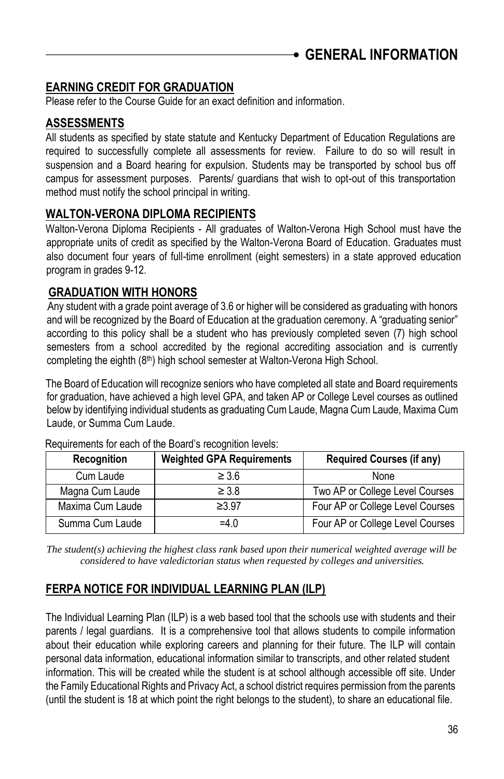## **EARNING CREDIT FOR GRADUATION**

Please refer to the Course Guide for an exact definition and information.

## **ASSESSMENTS**

All students as specified by state statute and Kentucky Department of Education Regulations are required to successfully complete all assessments for review. Failure to do so will result in suspension and a Board hearing for expulsion. Students may be transported by school bus off campus for assessment purposes. Parents/ guardians that wish to opt-out of this transportation method must notify the school principal in writing.

## **WALTON-VERONA DIPLOMA RECIPIENTS**

Walton-Verona Diploma Recipients - All graduates of Walton-Verona High School must have the appropriate units of credit as specified by the Walton-Verona Board of Education. Graduates must also document four years of full-time enrollment (eight semesters) in a state approved education program in grades 9-12.

## **GRADUATION WITH HONORS**

Any student with a grade point average of 3.6 or higher will be considered as graduating with honors and will be recognized by the Board of Education at the graduation ceremony. A "graduating senior" according to this policy shall be a student who has previously completed seven (7) high school semesters from a school accredited by the regional accrediting association and is currently completing the eighth (8<sup>th</sup>) high school semester at Walton-Verona High School.

The Board of Education will recognize seniors who have completed all state and Board requirements for graduation, have achieved a high level GPA, and taken AP or College Level courses as outlined below by identifying individual students as graduating Cum Laude, Magna Cum Laude, Maxima Cum Laude, or Summa Cum Laude.

| Recognition      | <b>Weighted GPA Requirements</b> | <b>Required Courses (if any)</b> |
|------------------|----------------------------------|----------------------------------|
| Cum Laude        | $\geq 3.6$                       | None                             |
| Magna Cum Laude  | $\geq 3.8$                       | Two AP or College Level Courses  |
| Maxima Cum Laude | ≥3.97                            | Four AP or College Level Courses |
| Summa Cum Laude  | $=4.0$                           | Four AP or College Level Courses |

Requirements for each of the Board's recognition levels:

*The student(s) achieving the highest class rank based upon their numerical weighted average will be considered to have valedictorian status when requested by colleges and universities.*

## **FERPA NOTICE FOR INDIVIDUAL LEARNING PLAN (ILP)**

The Individual Learning Plan (ILP) is a web based tool that the schools use with students and their parents / legal guardians. It is a comprehensive tool that allows students to compile information about their education while exploring careers and planning for their future. The ILP will contain personal data information, educational information similar to transcripts, and other related student information. This will be created while the student is at school although accessible off site. Under the Family Educational Rights and Privacy Act, a school district requires permission from the parents (until the student is 18 at which point the right belongs to the student), to share an educational file.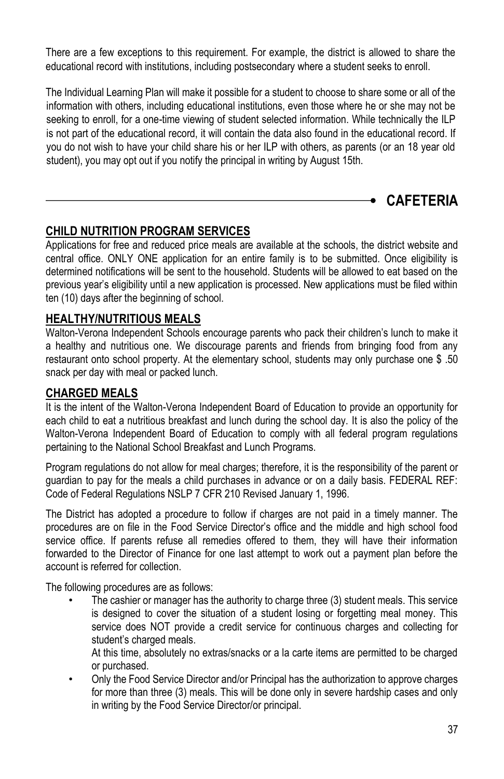There are a few exceptions to this requirement. For example, the district is allowed to share the educational record with institutions, including postsecondary where a student seeks to enroll.

The Individual Learning Plan will make it possible for a student to choose to share some or all of the information with others, including educational institutions, even those where he or she may not be seeking to enroll, for a one-time viewing of student selected information. While technically the ILP is not part of the educational record, it will contain the data also found in the educational record. If you do not wish to have your child share his or her ILP with others, as parents (or an 18 year old student), you may opt out if you notify the principal in writing by August 15th.

## <span id="page-36-0"></span>**CAFETERIA**

## **CHILD NUTRITION PROGRAM SERVICES**

Applications for free and reduced price meals are available at the schools, the district website and central office. ONLY ONE application for an entire family is to be submitted. Once eligibility is determined notifications will be sent to the household. Students will be allowed to eat based on the previous year's eligibility until a new application is processed. New applications must be filed within ten (10) days after the beginning of school.

### **HEALTHY/NUTRITIOUS MEALS**

Walton-Verona Independent Schools encourage parents who pack their children's lunch to make it a healthy and nutritious one. We discourage parents and friends from bringing food from any restaurant onto school property. At the elementary school, students may only purchase one \$ .50 snack per day with meal or packed lunch.

## **CHARGED MEALS**

It is the intent of the Walton-Verona Independent Board of Education to provide an opportunity for each child to eat a nutritious breakfast and lunch during the school day. It is also the policy of the Walton-Verona Independent Board of Education to comply with all federal program regulations pertaining to the National School Breakfast and Lunch Programs.

Program regulations do not allow for meal charges; therefore, it is the responsibility of the parent or guardian to pay for the meals a child purchases in advance or on a daily basis. FEDERAL REF: Code of Federal Regulations NSLP 7 CFR 210 Revised January 1, 1996.

The District has adopted a procedure to follow if charges are not paid in a timely manner. The procedures are on file in the Food Service Director's office and the middle and high school food service office. If parents refuse all remedies offered to them, they will have their information forwarded to the Director of Finance for one last attempt to work out a payment plan before the account is referred for collection.

The following procedures are as follows:

The cashier or manager has the authority to charge three (3) student meals. This service is designed to cover the situation of a student losing or forgetting meal money. This service does NOT provide a credit service for continuous charges and collecting for student's charged meals.

At this time, absolutely no extras/snacks or a la carte items are permitted to be charged or purchased.

• Only the Food Service Director and/or Principal has the authorization to approve charges for more than three (3) meals. This will be done only in severe hardship cases and only in writing by the Food Service Director/or principal.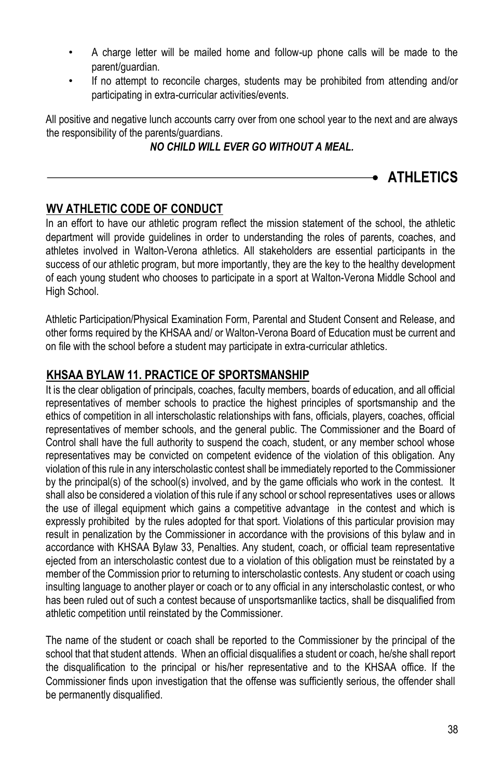- A charge letter will be mailed home and follow-up phone calls will be made to the parent/guardian.
- If no attempt to reconcile charges, students may be prohibited from attending and/or participating in extra-curricular activities/events.

All positive and negative lunch accounts carry over from one school year to the next and are always the responsibility of the parents/guardians.

## *NO CHILD WILL EVER GO WITHOUT A MEAL.*

<span id="page-37-0"></span>**ATHLETICS**

## **WV ATHLETIC CODE OF CONDUCT**

In an effort to have our athletic program reflect the mission statement of the school, the athletic department will provide guidelines in order to understanding the roles of parents, coaches, and athletes involved in Walton-Verona athletics. All stakeholders are essential participants in the success of our athletic program, but more importantly, they are the key to the healthy development of each young student who chooses to participate in a sport at Walton-Verona Middle School and High School.

Athletic Participation/Physical Examination Form, Parental and Student Consent and Release, and other forms required by the KHSAA and/ or Walton-Verona Board of Education must be current and on file with the school before a student may participate in extra-curricular athletics.

## **KHSAA BYLAW 11. PRACTICE OF SPORTSMANSHIP**

It is the clear obligation of principals, coaches, faculty members, boards of education, and all official representatives of member schools to practice the highest principles of sportsmanship and the ethics of competition in all interscholastic relationships with fans, officials, players, coaches, official representatives of member schools, and the general public. The Commissioner and the Board of Control shall have the full authority to suspend the coach, student, or any member school whose representatives may be convicted on competent evidence of the violation of this obligation. Any violation of this rule in any interscholastic contest shall be immediately reported to the Commissioner by the principal(s) of the school(s) involved, and by the game officials who work in the contest. It shall also be considered a violation of this rule if any school or school representatives uses or allows the use of illegal equipment which gains a competitive advantage in the contest and which is expressly prohibited by the rules adopted for that sport. Violations of this particular provision may result in penalization by the Commissioner in accordance with the provisions of this bylaw and in accordance with KHSAA Bylaw 33, Penalties. Any student, coach, or official team representative ejected from an interscholastic contest due to a violation of this obligation must be reinstated by a member of the Commission prior to returning to interscholastic contests. Any student or coach using insulting language to another player or coach or to any official in any interscholastic contest, or who has been ruled out of such a contest because of unsportsmanlike tactics, shall be disqualified from athletic competition until reinstated by the Commissioner.

The name of the student or coach shall be reported to the Commissioner by the principal of the school that that student attends. When an official disqualifies a student or coach, he/she shall report the disqualification to the principal or his/her representative and to the KHSAA office. If the Commissioner finds upon investigation that the offense was sufficiently serious, the offender shall be permanently disqualified.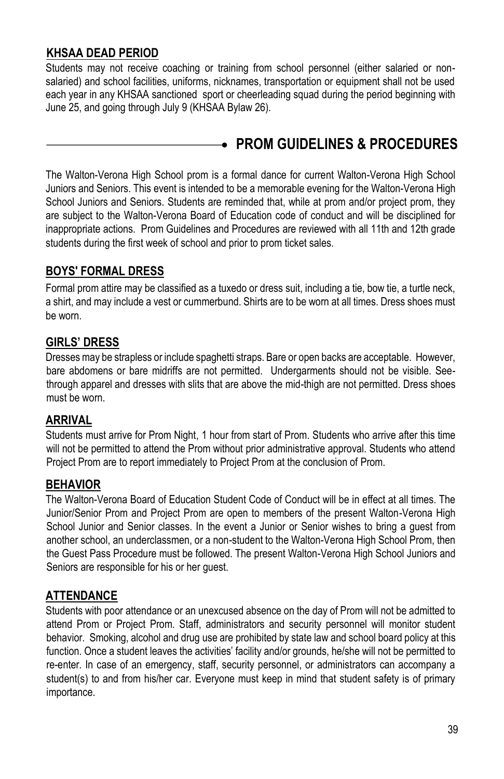## **KHSAA DEAD PERIOD**

Students may not receive coaching or training from school personnel (either salaried or nonsalaried) and school facilities, uniforms, nicknames, transportation or equipment shall not be used each year in any KHSAA sanctioned sport or cheerleading squad during the period beginning with June 25, and going through July 9 (KHSAA Bylaw 26).

# <span id="page-38-0"></span>**PROM GUIDELINES & PROCEDURES**

The Walton-Verona High School prom is a formal dance for current Walton-Verona High School Juniors and Seniors. This event is intended to be a memorable evening for the Walton-Verona High School Juniors and Seniors. Students are reminded that, while at prom and/or project prom, they are subject to the Walton-Verona Board of Education code of conduct and will be disciplined for inappropriate actions. Prom Guidelines and Procedures are reviewed with all 11th and 12th grade students during the first week of school and prior to prom ticket sales.

## **BOYS' FORMAL DRESS**

Formal prom attire may be classified as a tuxedo or dress suit, including a tie, bow tie, a turtle neck, a shirt, and may include a vest or cummerbund. Shirts are to be worn at all times. Dress shoes must be worn.

### **GIRLS' DRESS**

Dresses may be strapless or include spaghetti straps. Bare or open backs are acceptable. However, bare abdomens or bare midriffs are not permitted. Undergarments should not be visible. Seethrough apparel and dresses with slits that are above the mid-thigh are not permitted. Dress shoes must be worn.

### **ARRIVAL**

Students must arrive for Prom Night, 1 hour from start of Prom. Students who arrive after this time will not be permitted to attend the Prom without prior administrative approval. Students who attend Project Prom are to report immediately to Project Prom at the conclusion of Prom.

### **BEHAVIOR**

The Walton-Verona Board of Education Student Code of Conduct will be in effect at all times. The Junior/Senior Prom and Project Prom are open to members of the present Walton-Verona High School Junior and Senior classes. In the event a Junior or Senior wishes to bring a guest from another school, an underclassmen, or a non-student to the Walton-Verona High School Prom, then the Guest Pass Procedure must be followed. The present Walton-Verona High School Juniors and Seniors are responsible for his or her guest.

## **ATTENDANCE**

Students with poor attendance or an unexcused absence on the day of Prom will not be admitted to attend Prom or Project Prom. Staff, administrators and security personnel will monitor student behavior. Smoking, alcohol and drug use are prohibited by state law and school board policy at this function. Once a student leaves the activities' facility and/or grounds, he/she will not be permitted to re-enter. In case of an emergency, staff, security personnel, or administrators can accompany a student(s) to and from his/her car. Everyone must keep in mind that student safety is of primary importance.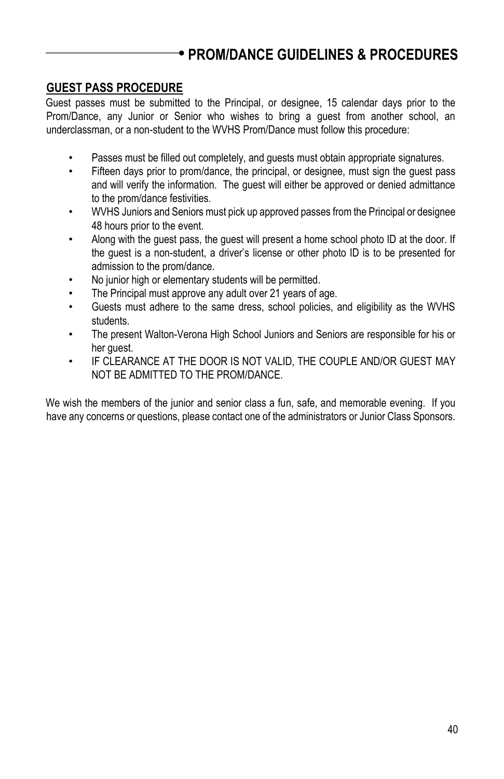# **PROM/DANCE GUIDELINES & PROCEDURES**

### **GUEST PASS PROCEDURE**

Guest passes must be submitted to the Principal, or designee, 15 calendar days prior to the Prom/Dance, any Junior or Senior who wishes to bring a guest from another school, an underclassman, or a non-student to the WVHS Prom/Dance must follow this procedure:

- Passes must be filled out completely, and guests must obtain appropriate signatures.
- Fifteen days prior to prom/dance, the principal, or designee, must sign the guest pass and will verify the information. The guest will either be approved or denied admittance to the prom/dance festivities.
- WVHS Juniors and Seniors must pick up approved passes from the Principal or designee 48 hours prior to the event.
- Along with the guest pass, the guest will present a home school photo ID at the door. If the guest is a non-student, a driver's license or other photo ID is to be presented for admission to the prom/dance.
- No junior high or elementary students will be permitted.
- The Principal must approve any adult over 21 years of age.
- Guests must adhere to the same dress, school policies, and eligibility as the WVHS students.
- The present Walton-Verona High School Juniors and Seniors are responsible for his or her guest.
- IF CLEARANCE AT THE DOOR IS NOT VALID, THE COUPLE AND/OR GUEST MAY NOT BE ADMITTED TO THE PROM/DANCE.

We wish the members of the junior and senior class a fun, safe, and memorable evening. If you have any concerns or questions, please contact one of the administrators or Junior Class Sponsors.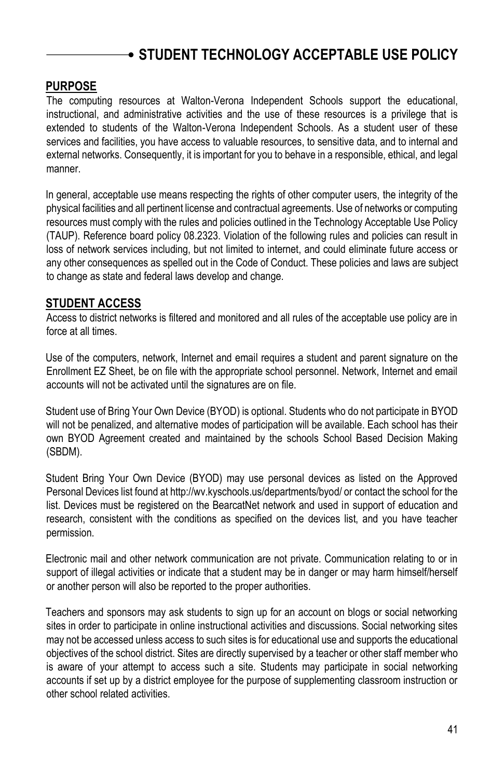## <span id="page-40-0"></span>**PURPOSE**

The computing resources at Walton-Verona Independent Schools support the educational, instructional, and administrative activities and the use of these resources is a privilege that is extended to students of the Walton-Verona Independent Schools. As a student user of these services and facilities, you have access to valuable resources, to sensitive data, and to internal and external networks. Consequently, it is important for you to behave in a responsible, ethical, and legal manner.

In general, acceptable use means respecting the rights of other computer users, the integrity of the physical facilities and all pertinent license and contractual agreements. Use of networks or computing resources must comply with the rules and policies outlined in the Technology Acceptable Use Policy (TAUP). Reference board policy 08.2323. Violation of the following rules and policies can result in loss of network services including, but not limited to internet, and could eliminate future access or any other consequences as spelled out in the Code of Conduct. These policies and laws are subject to change as state and federal laws develop and change.

## **STUDENT ACCESS**

Access to district networks is filtered and monitored and all rules of the acceptable use policy are in force at all times.

Use of the computers, network, Internet and email requires a student and parent signature on the Enrollment EZ Sheet, be on file with the appropriate school personnel. Network, Internet and email accounts will not be activated until the signatures are on file.

Student use of Bring Your Own Device (BYOD) is optional. Students who do not participate in BYOD will not be penalized, and alternative modes of participation will be available. Each school has their own BYOD Agreement created and maintained by the schools School Based Decision Making (SBDM).

Student Bring Your Own Device (BYOD) may use personal devices as listed on the Approved Personal Devices list found at http://wv.kyschools.us/departments/byod/ or contact the school for the list. Devices must be registered on the BearcatNet network and used in support of education and research, consistent with the conditions as specified on the devices list, and you have teacher permission.

Electronic mail and other network communication are not private. Communication relating to or in support of illegal activities or indicate that a student may be in danger or may harm himself/herself or another person will also be reported to the proper authorities.

Teachers and sponsors may ask students to sign up for an account on blogs or social networking sites in order to participate in online instructional activities and discussions. Social networking sites may not be accessed unless access to such sites is for educational use and supports the educational objectives of the school district. Sites are directly supervised by a teacher or other staff member who is aware of your attempt to access such a site. Students may participate in social networking accounts if set up by a district employee for the purpose of supplementing classroom instruction or other school related activities.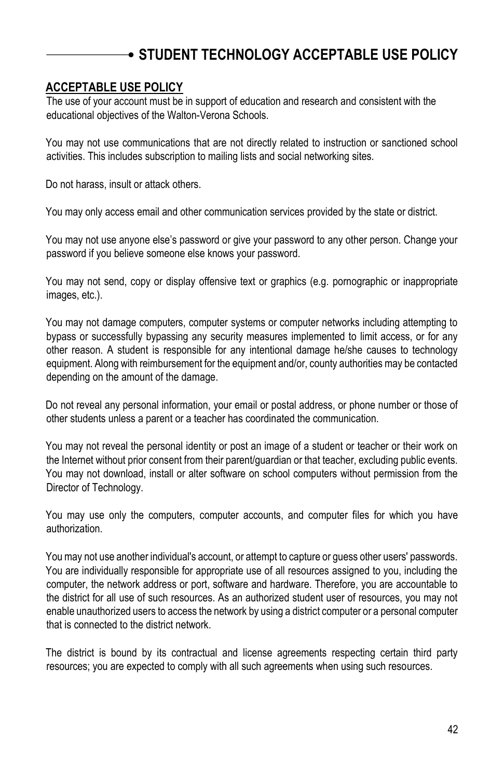### **ACCEPTABLE USE POLICY**

The use of your account must be in support of education and research and consistent with the educational objectives of the Walton-Verona Schools.

You may not use communications that are not directly related to instruction or sanctioned school activities. This includes subscription to mailing lists and social networking sites.

Do not harass, insult or attack others.

You may only access email and other communication services provided by the state or district.

You may not use anyone else's password or give your password to any other person. Change your password if you believe someone else knows your password.

You may not send, copy or display offensive text or graphics (e.g. pornographic or inappropriate images, etc.).

You may not damage computers, computer systems or computer networks including attempting to bypass or successfully bypassing any security measures implemented to limit access, or for any other reason. A student is responsible for any intentional damage he/she causes to technology equipment. Along with reimbursement for the equipment and/or, county authorities may be contacted depending on the amount of the damage.

Do not reveal any personal information, your email or postal address, or phone number or those of other students unless a parent or a teacher has coordinated the communication.

You may not reveal the personal identity or post an image of a student or teacher or their work on the Internet without prior consent from their parent/guardian or that teacher, excluding public events. You may not download, install or alter software on school computers without permission from the Director of Technology.

You may use only the computers, computer accounts, and computer files for which you have authorization.

You may not use another individual's account, or attempt to capture or guess other users' passwords. You are individually responsible for appropriate use of all resources assigned to you, including the computer, the network address or port, software and hardware. Therefore, you are accountable to the district for all use of such resources. As an authorized student user of resources, you may not enable unauthorized users to access the network by using a district computer or a personal computer that is connected to the district network.

The district is bound by its contractual and license agreements respecting certain third party resources; you are expected to comply with all such agreements when using such resources.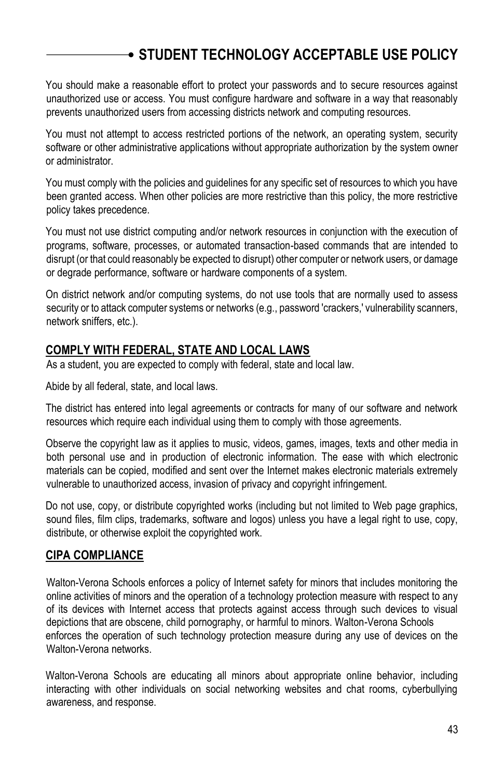You should make a reasonable effort to protect your passwords and to secure resources against unauthorized use or access. You must configure hardware and software in a way that reasonably prevents unauthorized users from accessing districts network and computing resources.

You must not attempt to access restricted portions of the network, an operating system, security software or other administrative applications without appropriate authorization by the system owner or administrator.

You must comply with the policies and guidelines for any specific set of resources to which you have been granted access. When other policies are more restrictive than this policy, the more restrictive policy takes precedence.

You must not use district computing and/or network resources in conjunction with the execution of programs, software, processes, or automated transaction-based commands that are intended to disrupt (or that could reasonably be expected to disrupt) other computer or network users, or damage or degrade performance, software or hardware components of a system.

On district network and/or computing systems, do not use tools that are normally used to assess security or to attack computer systems or networks (e.g., password 'crackers,' vulnerability scanners, network sniffers, etc.).

## **COMPLY WITH FEDERAL, STATE AND LOCAL LAWS**

As a student, you are expected to comply with federal, state and local law.

Abide by all federal, state, and local laws.

The district has entered into legal agreements or contracts for many of our software and network resources which require each individual using them to comply with those agreements.

Observe the copyright law as it applies to music, videos, games, images, texts and other media in both personal use and in production of electronic information. The ease with which electronic materials can be copied, modified and sent over the Internet makes electronic materials extremely vulnerable to unauthorized access, invasion of privacy and copyright infringement.

Do not use, copy, or distribute copyrighted works (including but not limited to Web page graphics, sound files, film clips, trademarks, software and logos) unless you have a legal right to use, copy, distribute, or otherwise exploit the copyrighted work.

### **CIPA COMPLIANCE**

Walton-Verona Schools enforces a policy of Internet safety for minors that includes monitoring the online activities of minors and the operation of a technology protection measure with respect to any of its devices with Internet access that protects against access through such devices to visual depictions that are obscene, child pornography, or harmful to minors. Walton-Verona Schools enforces the operation of such technology protection measure during any use of devices on the Walton-Verona networks.

Walton-Verona Schools are educating all minors about appropriate online behavior, including interacting with other individuals on social networking websites and chat rooms, cyberbullying awareness, and response.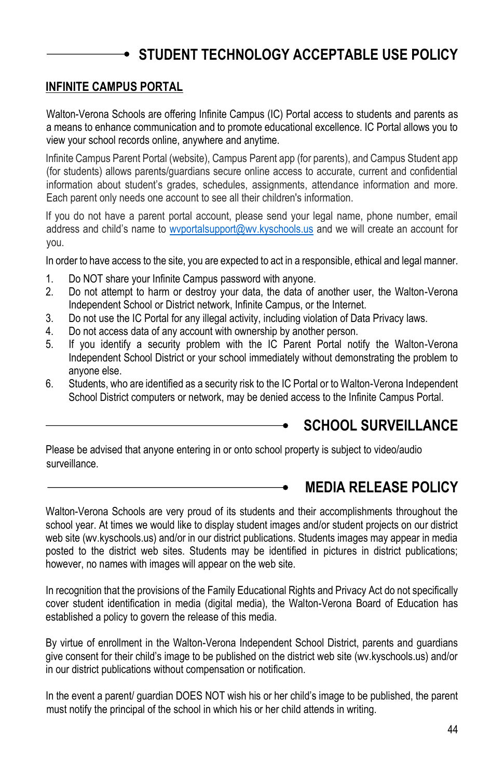### **INFINITE CAMPUS PORTAL**

Walton-Verona Schools are offering Infinite Campus (IC) Portal access to students and parents as a means to enhance communication and to promote educational excellence. IC Portal allows you to view your school records online, anywhere and anytime.

Infinite Campus Parent Portal (website), Campus Parent app (for parents), and Campus Student app (for students) allows parents/guardians secure online access to accurate, current and confidential information about student's grades, schedules, assignments, attendance information and more. Each parent only needs one account to see all their children's information.

If you do not have a parent portal account, please send your legal name, phone number, email address and child's name to [wvportalsupport@wv.kyschools.us](mailto:wvportalsupport@wv.kyschools.us) and we will create an account for you.

In order to have access to the site, you are expected to act in a responsible, ethical and legal manner.

- 1. Do NOT share your Infinite Campus password with anyone.
- 2. Do not attempt to harm or destroy your data, the data of another user, the Walton-Verona Independent School or District network, Infinite Campus, or the Internet.
- 3. Do not use the IC Portal for any illegal activity, including violation of Data Privacy laws.
- 4. Do not access data of any account with ownership by another person.
- 5. If you identify a security problem with the IC Parent Portal notify the Walton-Verona Independent School District or your school immediately without demonstrating the problem to anyone else.
- 6. Students, who are identified as a security risk to the IC Portal or to Walton-Verona Independent School District computers or network, may be denied access to the Infinite Campus Portal.

## <span id="page-43-0"></span>**SCHOOL SURVEILLANCE**

Please be advised that anyone entering in or onto school property is subject to video/audio surveillance.

## <span id="page-43-1"></span>**MEDIA RELEASE POLICY**

Walton-Verona Schools are very proud of its students and their accomplishments throughout the school year. At times we would like to display student images and/or student projects on our district web site (wv.kyschools.us) and/or in our district publications. Students images may appear in media posted to the district web sites. Students may be identified in pictures in district publications; however, no names with images will appear on the web site.

In recognition that the provisions of the Family Educational Rights and Privacy Act do not specifically cover student identification in media (digital media), the Walton-Verona Board of Education has established a policy to govern the release of this media.

By virtue of enrollment in the Walton-Verona Independent School District, parents and guardians give consent for their child's image to be published on the district web site (wv.kyschools.us) and/or in our district publications without compensation or notification.

In the event a parent/ guardian DOES NOT wish his or her child's image to be published, the parent must notify the principal of the school in which his or her child attends in writing.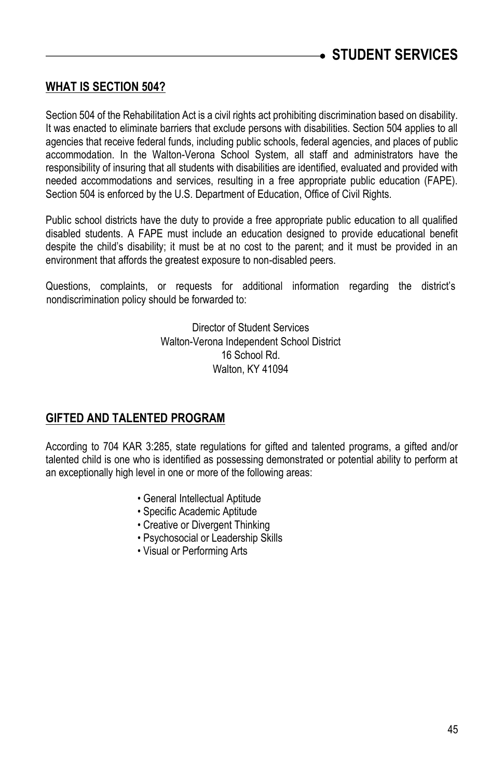## <span id="page-44-0"></span>**WHAT IS SECTION 504?**

Section 504 of the Rehabilitation Act is a civil rights act prohibiting discrimination based on disability. It was enacted to eliminate barriers that exclude persons with disabilities. Section 504 applies to all agencies that receive federal funds, including public schools, federal agencies, and places of public accommodation. In the Walton-Verona School System, all staff and administrators have the responsibility of insuring that all students with disabilities are identified, evaluated and provided with needed accommodations and services, resulting in a free appropriate public education (FAPE). Section 504 is enforced by the U.S. Department of Education, Office of Civil Rights.

Public school districts have the duty to provide a free appropriate public education to all qualified disabled students. A FAPE must include an education designed to provide educational benefit despite the child's disability; it must be at no cost to the parent; and it must be provided in an environment that affords the greatest exposure to non-disabled peers.

Questions, complaints, or requests for additional information regarding the district's nondiscrimination policy should be forwarded to:

> Director of Student Services Walton-Verona Independent School District 16 School Rd. Walton, KY 41094

### **GIFTED AND TALENTED PROGRAM**

According to 704 KAR 3:285, state regulations for gifted and talented programs, a gifted and/or talented child is one who is identified as possessing demonstrated or potential ability to perform at an exceptionally high level in one or more of the following areas:

- General Intellectual Aptitude
- Specific Academic Aptitude
- Creative or Divergent Thinking
- Psychosocial or Leadership Skills
- Visual or Performing Arts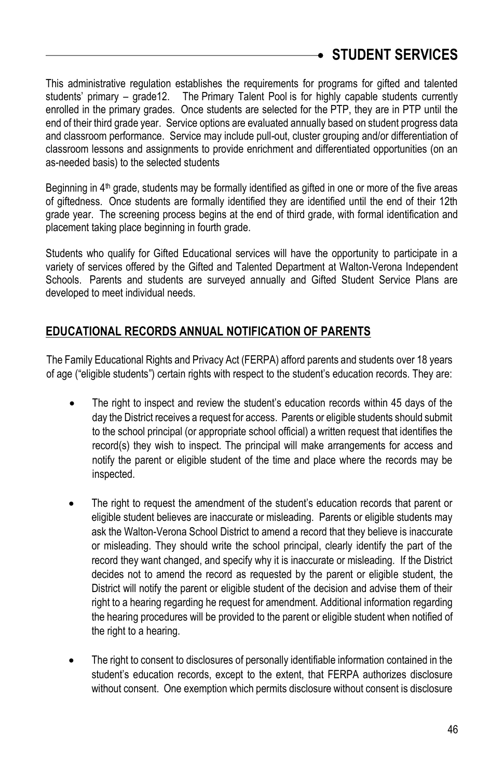This administrative regulation establishes the requirements for programs for gifted and talented students' primary – grade12. The Primary Talent Pool is for highly capable students currently enrolled in the primary grades. Once students are selected for the PTP, they are in PTP until the end of their third grade year. Service options are evaluated annually based on student progress data and classroom performance. Service may include pull-out, cluster grouping and/or differentiation of classroom lessons and assignments to provide enrichment and differentiated opportunities (on an as-needed basis) to the selected students

Beginning in 4<sup>th</sup> grade, students may be formally identified as gifted in one or more of the five areas of giftedness. Once students are formally identified they are identified until the end of their 12th grade year. The screening process begins at the end of third grade, with formal identification and placement taking place beginning in fourth grade.

Students who qualify for Gifted Educational services will have the opportunity to participate in a variety of services offered by the Gifted and Talented Department at Walton-Verona Independent Schools. Parents and students are surveyed annually and Gifted Student Service Plans are developed to meet individual needs.

## **EDUCATIONAL RECORDS ANNUAL NOTIFICATION OF PARENTS**

The Family Educational Rights and Privacy Act (FERPA) afford parents and students over 18 years of age ("eligible students") certain rights with respect to the student's education records. They are:

- The right to inspect and review the student's education records within 45 days of the day the District receives a request for access. Parents or eligible students should submit to the school principal (or appropriate school official) a written request that identifies the record(s) they wish to inspect. The principal will make arrangements for access and notify the parent or eligible student of the time and place where the records may be inspected.
- The right to request the amendment of the student's education records that parent or eligible student believes are inaccurate or misleading. Parents or eligible students may ask the Walton-Verona School District to amend a record that they believe is inaccurate or misleading. They should write the school principal, clearly identify the part of the record they want changed, and specify why it is inaccurate or misleading. If the District decides not to amend the record as requested by the parent or eligible student, the District will notify the parent or eligible student of the decision and advise them of their right to a hearing regarding he request for amendment. Additional information regarding the hearing procedures will be provided to the parent or eligible student when notified of the right to a hearing.
- The right to consent to disclosures of personally identifiable information contained in the student's education records, except to the extent, that FERPA authorizes disclosure without consent. One exemption which permits disclosure without consent is disclosure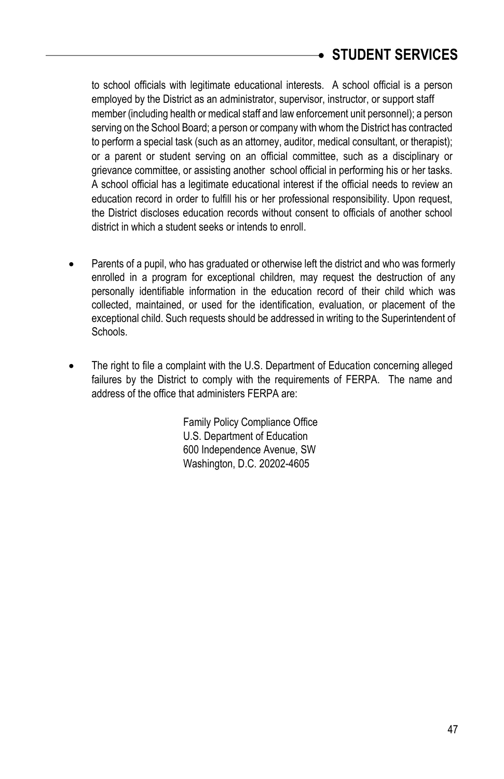to school officials with legitimate educational interests. A school official is a person employed by the District as an administrator, supervisor, instructor, or support staff member (including health or medical staff and law enforcement unit personnel); a person serving on the School Board; a person or company with whom the District has contracted to perform a special task (such as an attorney, auditor, medical consultant, or therapist); or a parent or student serving on an official committee, such as a disciplinary or grievance committee, or assisting another school official in performing his or her tasks. A school official has a legitimate educational interest if the official needs to review an education record in order to fulfill his or her professional responsibility. Upon request, the District discloses education records without consent to officials of another school district in which a student seeks or intends to enroll.

- Parents of a pupil, who has graduated or otherwise left the district and who was formerly enrolled in a program for exceptional children, may request the destruction of any personally identifiable information in the education record of their child which was collected, maintained, or used for the identification, evaluation, or placement of the exceptional child. Such requests should be addressed in writing to the Superintendent of Schools.
- The right to file a complaint with the U.S. Department of Education concerning alleged failures by the District to comply with the requirements of FERPA. The name and address of the office that administers FERPA are:

Family Policy Compliance Office U.S. Department of Education 600 Independence Avenue, SW Washington, D.C. 20202-4605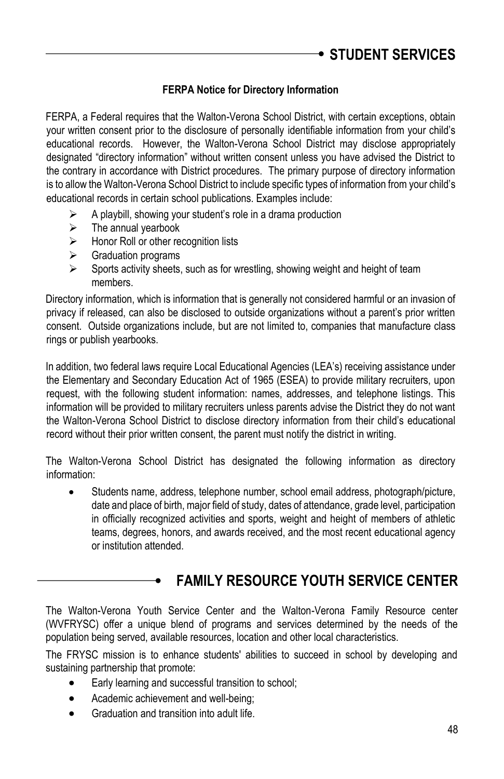### **FERPA Notice for Directory Information**

FERPA, a Federal requires that the Walton-Verona School District, with certain exceptions, obtain your written consent prior to the disclosure of personally identifiable information from your child's educational records. However, the Walton-Verona School District may disclose appropriately designated "directory information" without written consent unless you have advised the District to the contrary in accordance with District procedures. The primary purpose of directory information is to allow the Walton-Verona School District to include specific types of information from your child's educational records in certain school publications. Examples include:

- A playbill, showing your student's role in a drama production
- $\triangleright$  The annual vearbook
- $\triangleright$  Honor Roll or other recognition lists
- Graduation programs
- Sports activity sheets, such as for wrestling, showing weight and height of team members.

Directory information, which is information that is generally not considered harmful or an invasion of privacy if released, can also be disclosed to outside organizations without a parent's prior written consent. Outside organizations include, but are not limited to, companies that manufacture class rings or publish yearbooks.

In addition, two federal laws require Local Educational Agencies (LEA's) receiving assistance under the Elementary and Secondary Education Act of 1965 (ESEA) to provide military recruiters, upon request, with the following student information: names, addresses, and telephone listings. This information will be provided to military recruiters unless parents advise the District they do not want the Walton-Verona School District to disclose directory information from their child's educational record without their prior written consent, the parent must notify the district in writing.

The Walton-Verona School District has designated the following information as directory information:

 Students name, address, telephone number, school email address, photograph/picture, date and place of birth, major field of study, dates of attendance, grade level, participation in officially recognized activities and sports, weight and height of members of athletic teams, degrees, honors, and awards received, and the most recent educational agency or institution attended.

## <span id="page-47-0"></span>**FAMILY RESOURCE YOUTH SERVICE CENTER**

The Walton-Verona Youth Service Center and the Walton-Verona Family Resource center (WVFRYSC) offer a unique blend of programs and services determined by the needs of the population being served, available resources, location and other local characteristics.

The FRYSC mission is to enhance students' abilities to succeed in school by developing and sustaining partnership that promote:

- Early learning and successful transition to school;
- Academic achievement and well-being:
- **•** Graduation and transition into adult life.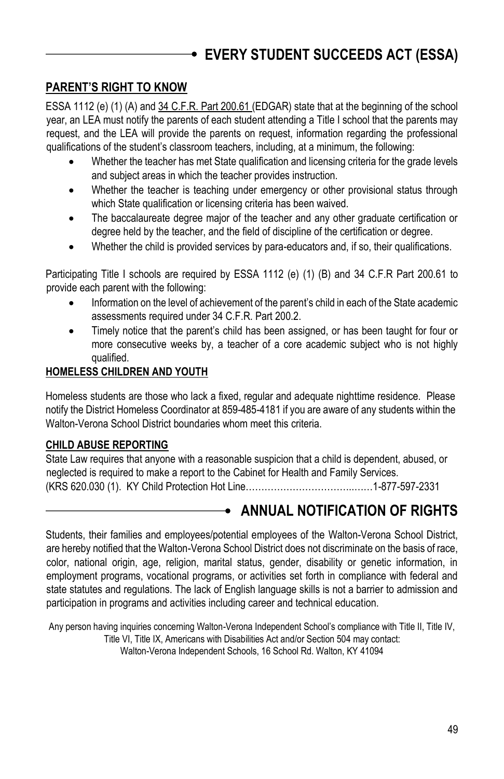# <span id="page-48-0"></span>**EVERY STUDENT SUCCEEDS ACT (ESSA)**

## **PARENT'S RIGHT TO KNOW**

ESSA 1112 (e) (1) (A) and 34 C.F.R. Part 200.61 (EDGAR) state that at the beginning of the school year, an LEA must notify the parents of each student attending a Title I school that the parents may request, and the LEA will provide the parents on request, information regarding the professional qualifications of the student's classroom teachers, including, at a minimum, the following:

- Whether the teacher has met State qualification and licensing criteria for the grade levels and subject areas in which the teacher provides instruction.
- Whether the teacher is teaching under emergency or other provisional status through which State qualification or licensing criteria has been waived.
- The baccalaureate degree major of the teacher and any other graduate certification or degree held by the teacher, and the field of discipline of the certification or degree.
- Whether the child is provided services by para-educators and, if so, their qualifications.

Participating Title I schools are required by ESSA 1112 (e) (1) (B) and 34 C.F.R Part 200.61 to provide each parent with the following:

- Information on the level of achievement of the parent's child in each of the State academic assessments required under 34 C.F.R. Part 200.2.
- Timely notice that the parent's child has been assigned, or has been taught for four or more consecutive weeks by, a teacher of a core academic subject who is not highly qualified.

### **HOMELESS CHILDREN AND YOUTH**

Homeless students are those who lack a fixed, regular and adequate nighttime residence. Please notify the District Homeless Coordinator at 859-485-4181 if you are aware of any students within the Walton-Verona School District boundaries whom meet this criteria.

### **CHILD ABUSE REPORTING**

State Law requires that anyone with a reasonable suspicion that a child is dependent, abused, or neglected is required to make a report to the Cabinet for Health and Family Services. (KRS 620.030 (1). KY Child Protection Hot Line……………………………..……1-877-597-2331

# <span id="page-48-1"></span>**ANNUAL NOTIFICATION OF RIGHTS**

Students, their families and employees/potential employees of the Walton-Verona School District, are hereby notified that the Walton-Verona School District does not discriminate on the basis of race, color, national origin, age, religion, marital status, gender, disability or genetic information, in employment programs, vocational programs, or activities set forth in compliance with federal and state statutes and regulations. The lack of English language skills is not a barrier to admission and participation in programs and activities including career and technical education.

Any person having inquiries concerning Walton-Verona Independent School's compliance with Title II, Title IV, Title VI, Title IX, Americans with Disabilities Act and/or Section 504 may contact: Walton-Verona Independent Schools, 16 School Rd. Walton, KY 41094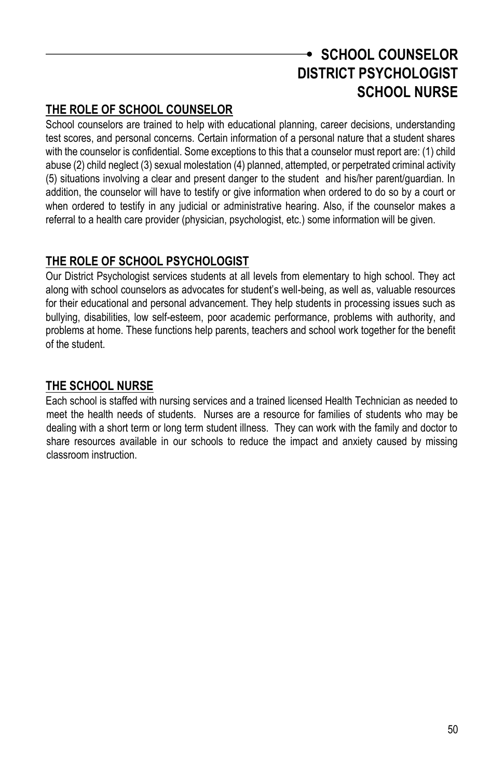# <span id="page-49-0"></span>**SCHOOL COUNSELOR DISTRICT PSYCHOLOGIST SCHOOL NURSE**

## <span id="page-49-2"></span><span id="page-49-1"></span>**THE ROLE OF SCHOOL COUNSELOR**

School counselors are trained to help with educational planning, career decisions, understanding test scores, and personal concerns. Certain information of a personal nature that a student shares with the counselor is confidential. Some exceptions to this that a counselor must report are: (1) child abuse (2) child neglect (3) sexual molestation (4) planned, attempted, or perpetrated criminal activity (5) situations involving a clear and present danger to the student and his/her parent/guardian. In addition, the counselor will have to testify or give information when ordered to do so by a court or when ordered to testify in any judicial or administrative hearing. Also, if the counselor makes a referral to a health care provider (physician, psychologist, etc.) some information will be given.

## **THE ROLE OF SCHOOL PSYCHOLOGIST**

Our District Psychologist services students at all levels from elementary to high school. They act along with school counselors as advocates for student's well-being, as well as, valuable resources for their educational and personal advancement. They help students in processing issues such as bullying, disabilities, low self-esteem, poor academic performance, problems with authority, and problems at home. These functions help parents, teachers and school work together for the benefit of the student.

## **THE SCHOOL NURSE**

Each school is staffed with nursing services and a trained licensed Health Technician as needed to meet the health needs of students. Nurses are a resource for families of students who may be dealing with a short term or long term student illness. They can work with the family and doctor to share resources available in our schools to reduce the impact and anxiety caused by missing classroom instruction.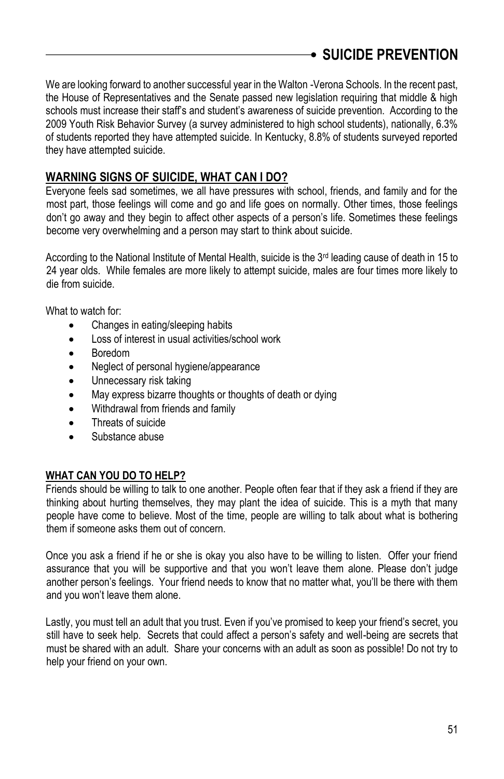<span id="page-50-0"></span>We are looking forward to another successful year in the Walton -Verona Schools. In the recent past, the House of Representatives and the Senate passed new legislation requiring that middle & high schools must increase their staff's and student's awareness of suicide prevention. According to the 2009 Youth Risk Behavior Survey (a survey administered to high school students), nationally, 6.3% of students reported they have attempted suicide. In Kentucky, 8.8% of students surveyed reported they have attempted suicide.

## **WARNING SIGNS OF SUICIDE, WHAT CAN I DO?**

Everyone feels sad sometimes, we all have pressures with school, friends, and family and for the most part, those feelings will come and go and life goes on normally. Other times, those feelings don't go away and they begin to affect other aspects of a person's life. Sometimes these feelings become very overwhelming and a person may start to think about suicide.

According to the National Institute of Mental Health, suicide is the  $3<sup>rd</sup>$  leading cause of death in 15 to 24 year olds. While females are more likely to attempt suicide, males are four times more likely to die from suicide.

What to watch for:

- Changes in eating/sleeping habits
- Loss of interest in usual activities/school work
- Boredom
- Neglect of personal hygiene/appearance
- Unnecessary risk taking
- May express bizarre thoughts or thoughts of death or dying
- Withdrawal from friends and family
- Threats of suicide
- Substance abuse

### **WHAT CAN YOU DO TO HELP?**

Friends should be willing to talk to one another. People often fear that if they ask a friend if they are thinking about hurting themselves, they may plant the idea of suicide. This is a myth that many people have come to believe. Most of the time, people are willing to talk about what is bothering them if someone asks them out of concern.

Once you ask a friend if he or she is okay you also have to be willing to listen. Offer your friend assurance that you will be supportive and that you won't leave them alone. Please don't judge another person's feelings. Your friend needs to know that no matter what, you'll be there with them and you won't leave them alone.

Lastly, you must tell an adult that you trust. Even if you've promised to keep your friend's secret, you still have to seek help. Secrets that could affect a person's safety and well-being are secrets that must be shared with an adult. Share your concerns with an adult as soon as possible! Do not try to help your friend on your own.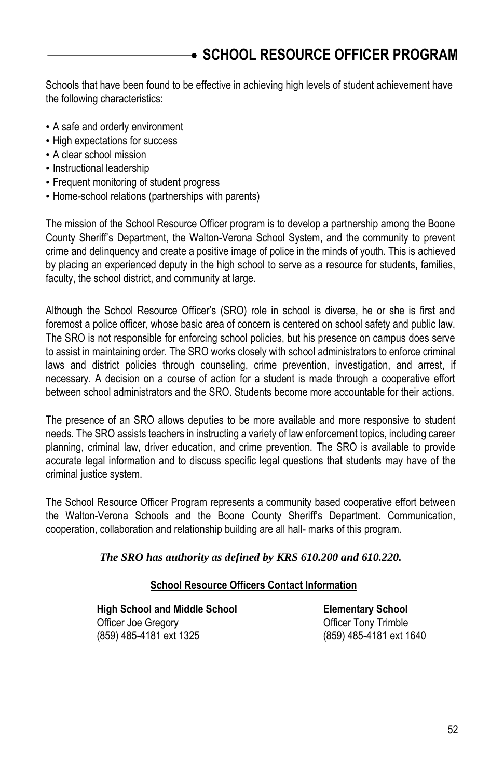# <span id="page-51-0"></span>**SCHOOL RESOURCE OFFICER PROGRAM**

Schools that have been found to be effective in achieving high levels of student achievement have the following characteristics:

- A safe and orderly environment
- High expectations for success
- A clear school mission
- Instructional leadership
- Frequent monitoring of student progress
- Home-school relations (partnerships with parents)

The mission of the School Resource Officer program is to develop a partnership among the Boone County Sheriff's Department, the Walton-Verona School System, and the community to prevent crime and delinquency and create a positive image of police in the minds of youth. This is achieved by placing an experienced deputy in the high school to serve as a resource for students, families, faculty, the school district, and community at large.

Although the School Resource Officer's (SRO) role in school is diverse, he or she is first and foremost a police officer, whose basic area of concern is centered on school safety and public law. The SRO is not responsible for enforcing school policies, but his presence on campus does serve to assist in maintaining order. The SRO works closely with school administrators to enforce criminal laws and district policies through counseling, crime prevention, investigation, and arrest, if necessary. A decision on a course of action for a student is made through a cooperative effort between school administrators and the SRO. Students become more accountable for their actions.

The presence of an SRO allows deputies to be more available and more responsive to student needs. The SRO assists teachers in instructing a variety of law enforcement topics, including career planning, criminal law, driver education, and crime prevention. The SRO is available to provide accurate legal information and to discuss specific legal questions that students may have of the criminal justice system.

The School Resource Officer Program represents a community based cooperative effort between the Walton-Verona Schools and the Boone County Sheriff's Department. Communication, cooperation, collaboration and relationship building are all hall- marks of this program.

### *The SRO has authority as defined by KRS 610.200 and 610.220.*

### **School Resource Officers Contact Information**

 **High School and Middle School Elementary School** Officer Joe Gregory **Community** Community Officer Tony Trimble (859) 485-4181 ext 1325 (859) 485-4181 ext 1640